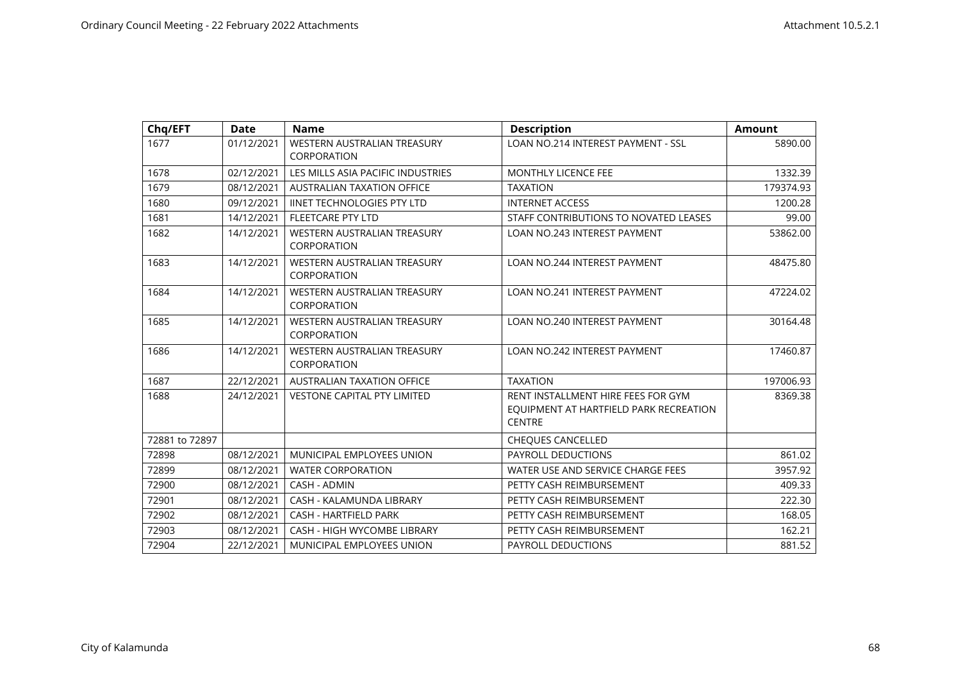| Chq/EFT        | <b>Date</b> | <b>Name</b>                                       | <b>Description</b>                                                                            | <b>Amount</b> |
|----------------|-------------|---------------------------------------------------|-----------------------------------------------------------------------------------------------|---------------|
| 1677           | 01/12/2021  | <b>WESTERN AUSTRALIAN TREASURY</b><br>CORPORATION | LOAN NO.214 INTEREST PAYMENT - SSL                                                            | 5890.00       |
| 1678           | 02/12/2021  | LES MILLS ASIA PACIFIC INDUSTRIES                 | MONTHLY LICENCE FEE                                                                           | 1332.39       |
| 1679           | 08/12/2021  | <b>AUSTRALIAN TAXATION OFFICE</b>                 | <b>TAXATION</b>                                                                               | 179374.93     |
| 1680           | 09/12/2021  | <b>IINET TECHNOLOGIES PTY LTD</b>                 | <b>INTERNET ACCESS</b>                                                                        | 1200.28       |
| 1681           | 14/12/2021  | <b>FLEETCARE PTY LTD</b>                          | STAFF CONTRIBUTIONS TO NOVATED LEASES                                                         | 99.00         |
| 1682           | 14/12/2021  | <b>WESTERN AUSTRALIAN TREASURY</b><br>CORPORATION | <b>LOAN NO.243 INTEREST PAYMENT</b>                                                           | 53862.00      |
| 1683           | 14/12/2021  | WESTERN AUSTRALIAN TREASURY<br>CORPORATION        | LOAN NO.244 INTEREST PAYMENT                                                                  | 48475.80      |
| 1684           | 14/12/2021  | WESTERN AUSTRALIAN TREASURY<br>CORPORATION        | <b>LOAN NO.241 INTEREST PAYMENT</b>                                                           | 47224.02      |
| 1685           | 14/12/2021  | WESTERN AUSTRALIAN TREASURY<br><b>CORPORATION</b> | <b>LOAN NO.240 INTEREST PAYMENT</b>                                                           | 30164.48      |
| 1686           | 14/12/2021  | WESTERN AUSTRALIAN TREASURY<br>CORPORATION        | <b>LOAN NO.242 INTEREST PAYMENT</b>                                                           | 17460.87      |
| 1687           | 22/12/2021  | <b>AUSTRALIAN TAXATION OFFICE</b>                 | <b>TAXATION</b>                                                                               | 197006.93     |
| 1688           | 24/12/2021  | <b>VESTONE CAPITAL PTY LIMITED</b>                | RENT INSTALLMENT HIRE FEES FOR GYM<br>EQUIPMENT AT HARTFIELD PARK RECREATION<br><b>CENTRE</b> | 8369.38       |
| 72881 to 72897 |             |                                                   | <b>CHEQUES CANCELLED</b>                                                                      |               |
| 72898          | 08/12/2021  | MUNICIPAL EMPLOYEES UNION                         | PAYROLL DEDUCTIONS                                                                            | 861.02        |
| 72899          | 08/12/2021  | <b>WATER CORPORATION</b>                          | WATER USE AND SERVICE CHARGE FEES                                                             | 3957.92       |
| 72900          | 08/12/2021  | CASH - ADMIN                                      | PETTY CASH REIMBURSEMENT                                                                      | 409.33        |
| 72901          | 08/12/2021  | CASH - KALAMUNDA LIBRARY                          | PETTY CASH REIMBURSEMENT                                                                      | 222.30        |
| 72902          | 08/12/2021  | <b>CASH - HARTFIELD PARK</b>                      | PETTY CASH REIMBURSEMENT                                                                      | 168.05        |
| 72903          | 08/12/2021  | <b>CASH - HIGH WYCOMBE LIBRARY</b>                | PETTY CASH REIMBURSEMENT                                                                      | 162.21        |
| 72904          | 22/12/2021  | MUNICIPAL EMPLOYEES UNION                         | <b>PAYROLL DEDUCTIONS</b>                                                                     | 881.52        |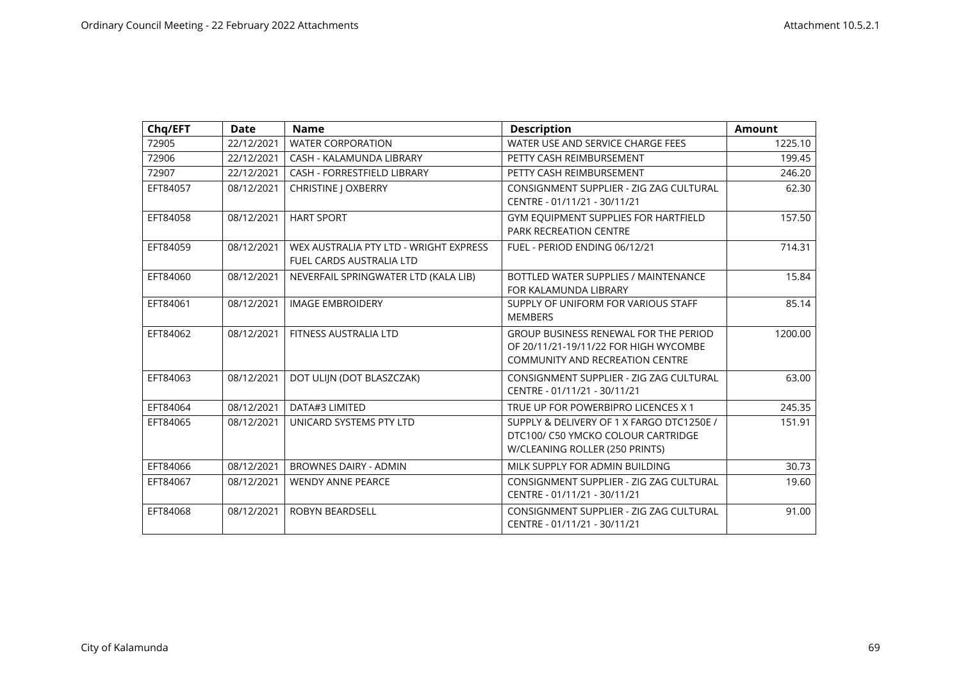| Chq/EFT  | <b>Date</b> | <b>Name</b>                                                        | <b>Description</b>                                                                                                              | <b>Amount</b> |
|----------|-------------|--------------------------------------------------------------------|---------------------------------------------------------------------------------------------------------------------------------|---------------|
| 72905    | 22/12/2021  | <b>WATER CORPORATION</b>                                           | WATER USE AND SERVICE CHARGE FEES                                                                                               | 1225.10       |
| 72906    | 22/12/2021  | CASH - KALAMUNDA LIBRARY                                           | PETTY CASH REIMBURSEMENT                                                                                                        | 199.45        |
| 72907    | 22/12/2021  | <b>CASH - FORRESTFIELD LIBRARY</b>                                 | PETTY CASH REIMBURSEMENT                                                                                                        | 246.20        |
| EFT84057 | 08/12/2021  | <b>CHRISTINE   OXBERRY</b>                                         | CONSIGNMENT SUPPLIER - ZIG ZAG CULTURAL<br>CENTRE - 01/11/21 - 30/11/21                                                         | 62.30         |
| EFT84058 | 08/12/2021  | <b>HART SPORT</b>                                                  | GYM EQUIPMENT SUPPLIES FOR HARTFIELD<br><b>PARK RECREATION CENTRE</b>                                                           | 157.50        |
| EFT84059 | 08/12/2021  | WEX AUSTRALIA PTY LTD - WRIGHT EXPRESS<br>FUEL CARDS AUSTRALIA LTD | FUEL - PERIOD ENDING 06/12/21                                                                                                   | 714.31        |
| EFT84060 | 08/12/2021  | NEVERFAIL SPRINGWATER LTD (KALA LIB)                               | BOTTLED WATER SUPPLIES / MAINTENANCE<br>FOR KALAMUNDA LIBRARY                                                                   | 15.84         |
| EFT84061 | 08/12/2021  | <b>IMAGE EMBROIDERY</b>                                            | SUPPLY OF UNIFORM FOR VARIOUS STAFF<br><b>MEMBERS</b>                                                                           | 85.14         |
| EFT84062 | 08/12/2021  | FITNESS AUSTRALIA LTD                                              | <b>GROUP BUSINESS RENEWAL FOR THE PERIOD</b><br>OF 20/11/21-19/11/22 FOR HIGH WYCOMBE<br><b>COMMUNITY AND RECREATION CENTRE</b> | 1200.00       |
| EFT84063 | 08/12/2021  | DOT ULIJN (DOT BLASZCZAK)                                          | CONSIGNMENT SUPPLIER - ZIG ZAG CULTURAL<br>CENTRE - 01/11/21 - 30/11/21                                                         | 63.00         |
| EFT84064 | 08/12/2021  | DATA#3 LIMITED                                                     | TRUE UP FOR POWERBIPRO LICENCES X 1                                                                                             | 245.35        |
| EFT84065 | 08/12/2021  | UNICARD SYSTEMS PTY LTD                                            | SUPPLY & DELIVERY OF 1 X FARGO DTC1250E /<br>DTC100/ C50 YMCKO COLOUR CARTRIDGE<br>W/CLEANING ROLLER (250 PRINTS)               | 151.91        |
| EFT84066 | 08/12/2021  | <b>BROWNES DAIRY - ADMIN</b>                                       | MILK SUPPLY FOR ADMIN BUILDING                                                                                                  | 30.73         |
| EFT84067 | 08/12/2021  | <b>WENDY ANNE PEARCE</b>                                           | CONSIGNMENT SUPPLIER - ZIG ZAG CULTURAL<br>CENTRE - 01/11/21 - 30/11/21                                                         | 19.60         |
| EFT84068 | 08/12/2021  | <b>ROBYN BEARDSELL</b>                                             | CONSIGNMENT SUPPLIER - ZIG ZAG CULTURAL<br>CENTRE - 01/11/21 - 30/11/21                                                         | 91.00         |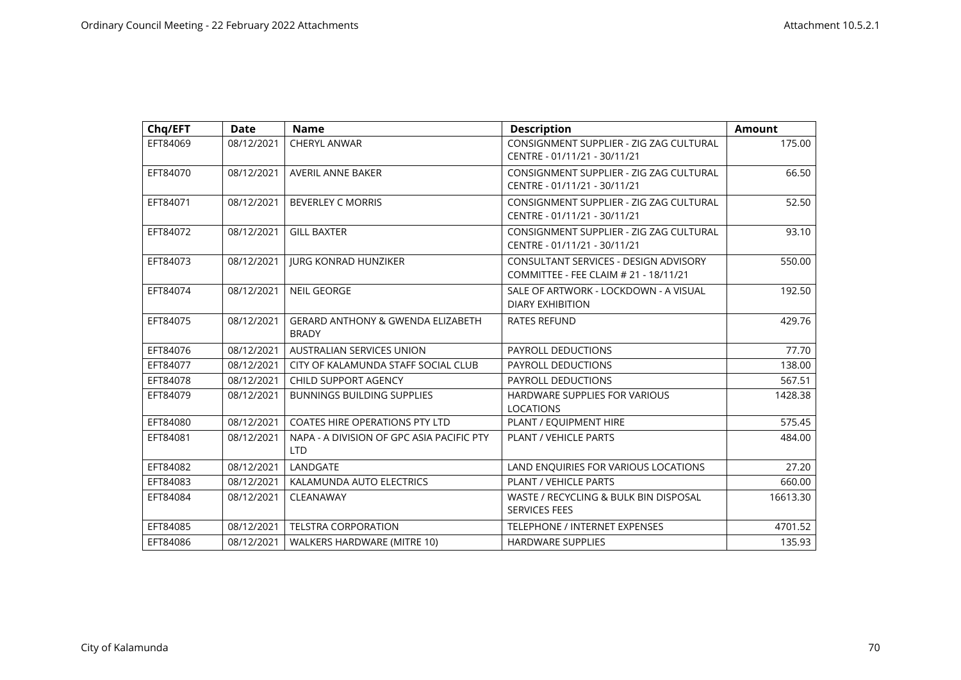| Chq/EFT  | <b>Date</b> | <b>Name</b>                                                  | <b>Description</b>                                                             | <b>Amount</b> |
|----------|-------------|--------------------------------------------------------------|--------------------------------------------------------------------------------|---------------|
| EFT84069 | 08/12/2021  | <b>CHERYL ANWAR</b>                                          | CONSIGNMENT SUPPLIER - ZIG ZAG CULTURAL<br>CENTRE - 01/11/21 - 30/11/21        | 175.00        |
| EFT84070 | 08/12/2021  | AVERIL ANNE BAKER                                            | CONSIGNMENT SUPPLIER - ZIG ZAG CULTURAL<br>CENTRE - 01/11/21 - 30/11/21        | 66.50         |
| EFT84071 | 08/12/2021  | <b>BEVERLEY C MORRIS</b>                                     | CONSIGNMENT SUPPLIER - ZIG ZAG CULTURAL<br>CENTRE - 01/11/21 - 30/11/21        | 52.50         |
| EFT84072 | 08/12/2021  | <b>GILL BAXTER</b>                                           | CONSIGNMENT SUPPLIER - ZIG ZAG CULTURAL<br>CENTRE - 01/11/21 - 30/11/21        | 93.10         |
| EFT84073 | 08/12/2021  | <b>JURG KONRAD HUNZIKER</b>                                  | CONSULTANT SERVICES - DESIGN ADVISORY<br>COMMITTEE - FEE CLAIM # 21 - 18/11/21 | 550.00        |
| EFT84074 | 08/12/2021  | <b>NEIL GEORGE</b>                                           | SALE OF ARTWORK - LOCKDOWN - A VISUAL<br><b>DIARY EXHIBITION</b>               | 192.50        |
| EFT84075 | 08/12/2021  | <b>GERARD ANTHONY &amp; GWENDA ELIZABETH</b><br><b>BRADY</b> | <b>RATES REFUND</b>                                                            | 429.76        |
| EFT84076 | 08/12/2021  | AUSTRALIAN SERVICES UNION                                    | <b>PAYROLL DEDUCTIONS</b>                                                      | 77.70         |
| EFT84077 | 08/12/2021  | CITY OF KALAMUNDA STAFF SOCIAL CLUB                          | PAYROLL DEDUCTIONS                                                             | 138.00        |
| EFT84078 | 08/12/2021  | CHILD SUPPORT AGENCY                                         | PAYROLL DEDUCTIONS                                                             | 567.51        |
| EFT84079 | 08/12/2021  | <b>BUNNINGS BUILDING SUPPLIES</b>                            | HARDWARE SUPPLIES FOR VARIOUS<br><b>LOCATIONS</b>                              | 1428.38       |
| EFT84080 | 08/12/2021  | COATES HIRE OPERATIONS PTY LTD                               | PLANT / EQUIPMENT HIRE                                                         | 575.45        |
| EFT84081 | 08/12/2021  | NAPA - A DIVISION OF GPC ASIA PACIFIC PTY<br><b>LTD</b>      | PLANT / VEHICLE PARTS                                                          | 484.00        |
| EFT84082 | 08/12/2021  | LANDGATE                                                     | LAND ENQUIRIES FOR VARIOUS LOCATIONS                                           | 27.20         |
| EFT84083 | 08/12/2021  | KALAMUNDA AUTO ELECTRICS                                     | PLANT / VEHICLE PARTS                                                          | 660.00        |
| EFT84084 | 08/12/2021  | CLEANAWAY                                                    | WASTE / RECYCLING & BULK BIN DISPOSAL<br><b>SERVICES FEES</b>                  | 16613.30      |
| EFT84085 | 08/12/2021  | <b>TELSTRA CORPORATION</b>                                   | <b>TELEPHONE / INTERNET EXPENSES</b>                                           | 4701.52       |
| EFT84086 | 08/12/2021  | <b>WALKERS HARDWARE (MITRE 10)</b>                           | <b>HARDWARE SUPPLIES</b>                                                       | 135.93        |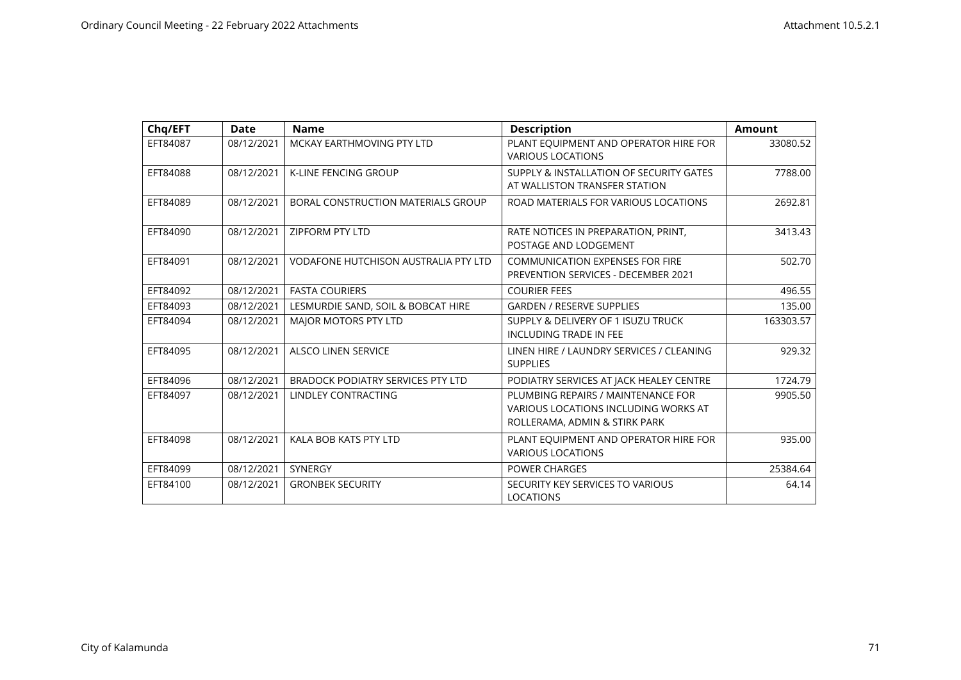| Chq/EFT  | <b>Date</b> | <b>Name</b>                                 | <b>Description</b>                                                                                          | <b>Amount</b> |
|----------|-------------|---------------------------------------------|-------------------------------------------------------------------------------------------------------------|---------------|
| EFT84087 | 08/12/2021  | MCKAY EARTHMOVING PTY LTD                   | PLANT EQUIPMENT AND OPERATOR HIRE FOR<br><b>VARIOUS LOCATIONS</b>                                           | 33080.52      |
| EFT84088 | 08/12/2021  | <b>K-LINE FENCING GROUP</b>                 | SUPPLY & INSTALLATION OF SECURITY GATES<br>AT WALLISTON TRANSFER STATION                                    | 7788.00       |
| EFT84089 | 08/12/2021  | BORAL CONSTRUCTION MATERIALS GROUP          | ROAD MATERIALS FOR VARIOUS LOCATIONS                                                                        | 2692.81       |
| EFT84090 | 08/12/2021  | <b>ZIPFORM PTY LTD</b>                      | RATE NOTICES IN PREPARATION, PRINT,<br>POSTAGE AND LODGEMENT                                                | 3413.43       |
| EFT84091 | 08/12/2021  | <b>VODAFONE HUTCHISON AUSTRALIA PTY LTD</b> | <b>COMMUNICATION EXPENSES FOR FIRE</b><br><b>PREVENTION SERVICES - DECEMBER 2021</b>                        | 502.70        |
| EFT84092 | 08/12/2021  | <b>FASTA COURIERS</b>                       | <b>COURIER FEES</b>                                                                                         | 496.55        |
| EFT84093 | 08/12/2021  | LESMURDIE SAND, SOIL & BOBCAT HIRE          | <b>GARDEN / RESERVE SUPPLIES</b>                                                                            | 135.00        |
| EFT84094 | 08/12/2021  | <b>MAJOR MOTORS PTY LTD</b>                 | SUPPLY & DELIVERY OF 1 ISUZU TRUCK<br><b>INCLUDING TRADE IN FEE</b>                                         | 163303.57     |
| EFT84095 | 08/12/2021  | <b>ALSCO LINEN SERVICE</b>                  | LINEN HIRE / LAUNDRY SERVICES / CLEANING<br><b>SUPPLIES</b>                                                 | 929.32        |
| EFT84096 | 08/12/2021  | BRADOCK PODIATRY SERVICES PTY LTD           | PODIATRY SERVICES AT JACK HEALEY CENTRE                                                                     | 1724.79       |
| EFT84097 | 08/12/2021  | <b>LINDLEY CONTRACTING</b>                  | PLUMBING REPAIRS / MAINTENANCE FOR<br>VARIOUS LOCATIONS INCLUDING WORKS AT<br>ROLLERAMA, ADMIN & STIRK PARK | 9905.50       |
| EFT84098 | 08/12/2021  | KALA BOB KATS PTY LTD                       | PLANT EQUIPMENT AND OPERATOR HIRE FOR<br><b>VARIOUS LOCATIONS</b>                                           | 935.00        |
| EFT84099 | 08/12/2021  | <b>SYNERGY</b>                              | <b>POWER CHARGES</b>                                                                                        | 25384.64      |
| EFT84100 | 08/12/2021  | <b>GRONBEK SECURITY</b>                     | SECURITY KEY SERVICES TO VARIOUS<br><b>LOCATIONS</b>                                                        | 64.14         |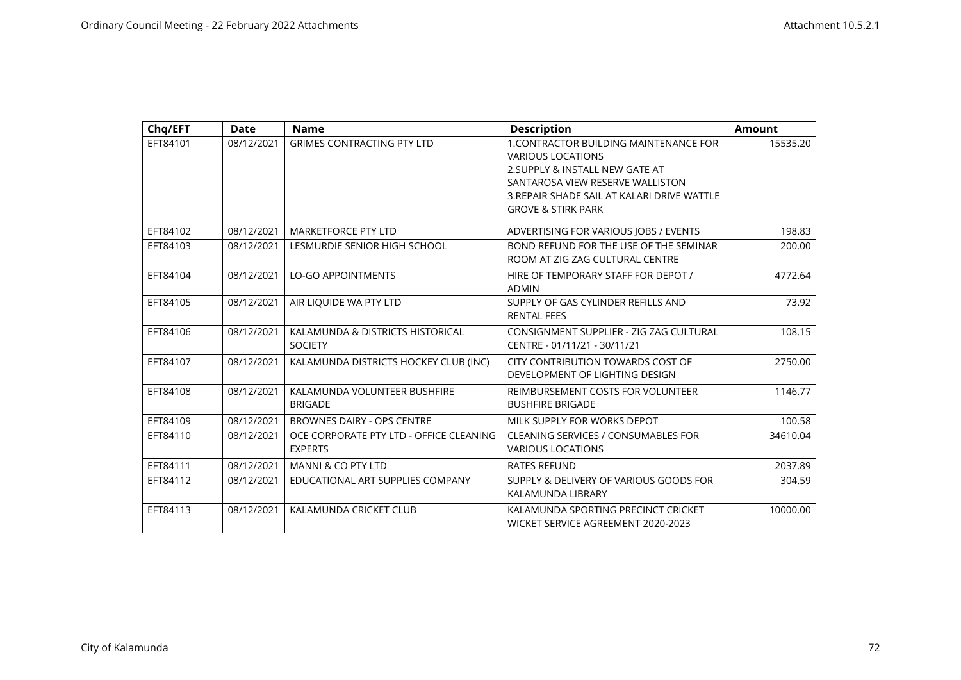| Chq/EFT  | <b>Date</b> | <b>Name</b>                                               | <b>Description</b>                                                                                                                                                                                                               | <b>Amount</b> |
|----------|-------------|-----------------------------------------------------------|----------------------------------------------------------------------------------------------------------------------------------------------------------------------------------------------------------------------------------|---------------|
| EFT84101 | 08/12/2021  | <b>GRIMES CONTRACTING PTY LTD</b>                         | <b>1. CONTRACTOR BUILDING MAINTENANCE FOR</b><br><b>VARIOUS LOCATIONS</b><br>2. SUPPLY & INSTALL NEW GATE AT<br>SANTAROSA VIEW RESERVE WALLISTON<br>3. REPAIR SHADE SAIL AT KALARI DRIVE WATTLE<br><b>GROVE &amp; STIRK PARK</b> | 15535.20      |
| EFT84102 | 08/12/2021  | <b>MARKETFORCE PTY LTD</b>                                | ADVERTISING FOR VARIOUS JOBS / EVENTS                                                                                                                                                                                            | 198.83        |
| EFT84103 | 08/12/2021  | LESMURDIE SENIOR HIGH SCHOOL                              | BOND REFUND FOR THE USE OF THE SEMINAR<br>ROOM AT ZIG ZAG CULTURAL CENTRE                                                                                                                                                        | 200.00        |
| EFT84104 | 08/12/2021  | <b>LO-GO APPOINTMENTS</b>                                 | HIRE OF TEMPORARY STAFF FOR DEPOT /<br><b>ADMIN</b>                                                                                                                                                                              | 4772.64       |
| EFT84105 | 08/12/2021  | AIR LIQUIDE WA PTY LTD                                    | SUPPLY OF GAS CYLINDER REFILLS AND<br><b>RENTAL FEES</b>                                                                                                                                                                         | 73.92         |
| EFT84106 | 08/12/2021  | KALAMUNDA & DISTRICTS HISTORICAL<br><b>SOCIETY</b>        | CONSIGNMENT SUPPLIER - ZIG ZAG CULTURAL<br>CENTRE - 01/11/21 - 30/11/21                                                                                                                                                          | 108.15        |
| EFT84107 | 08/12/2021  | KALAMUNDA DISTRICTS HOCKEY CLUB (INC)                     | CITY CONTRIBUTION TOWARDS COST OF<br>DEVELOPMENT OF LIGHTING DESIGN                                                                                                                                                              | 2750.00       |
| EFT84108 | 08/12/2021  | KALAMUNDA VOLUNTEER BUSHFIRE<br><b>BRIGADE</b>            | REIMBURSEMENT COSTS FOR VOLUNTEER<br><b>BUSHFIRE BRIGADE</b>                                                                                                                                                                     | 1146.77       |
| EFT84109 | 08/12/2021  | BROWNES DAIRY - OPS CENTRE                                | MILK SUPPLY FOR WORKS DEPOT                                                                                                                                                                                                      | 100.58        |
| EFT84110 | 08/12/2021  | OCE CORPORATE PTY LTD - OFFICE CLEANING<br><b>EXPERTS</b> | <b>CLEANING SERVICES / CONSUMABLES FOR</b><br><b>VARIOUS LOCATIONS</b>                                                                                                                                                           | 34610.04      |
| EFT84111 | 08/12/2021  | MANNI & CO PTY LTD                                        | <b>RATES REFUND</b>                                                                                                                                                                                                              | 2037.89       |
| EFT84112 | 08/12/2021  | EDUCATIONAL ART SUPPLIES COMPANY                          | SUPPLY & DELIVERY OF VARIOUS GOODS FOR<br>KALAMUNDA LIBRARY                                                                                                                                                                      | 304.59        |
| EFT84113 | 08/12/2021  | KALAMUNDA CRICKET CLUB                                    | KALAMUNDA SPORTING PRECINCT CRICKET<br>WICKET SERVICE AGREEMENT 2020-2023                                                                                                                                                        | 10000.00      |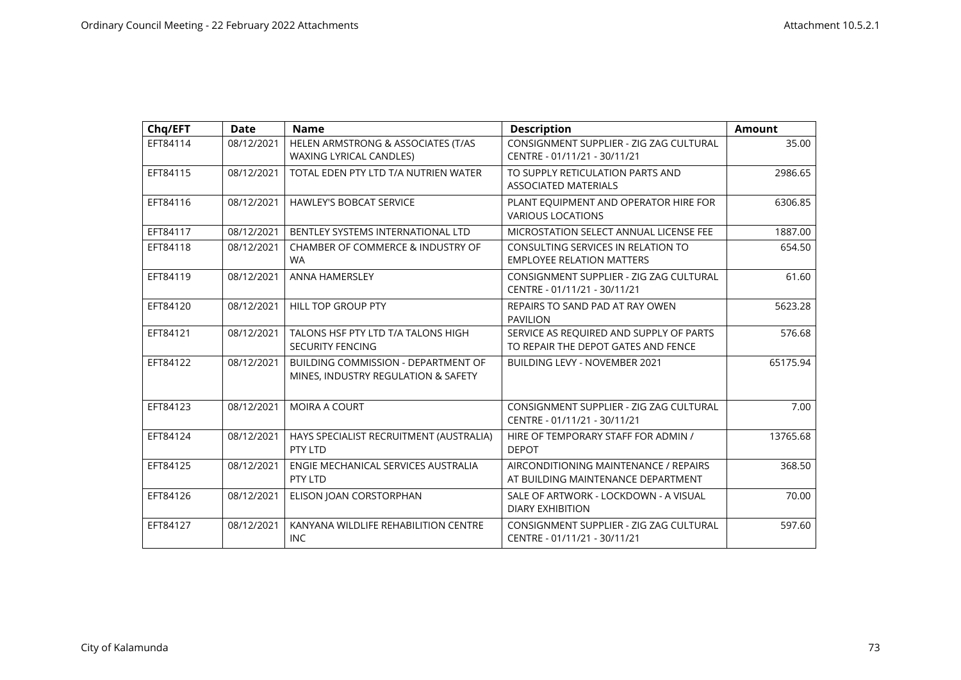| Chq/EFT  | <b>Date</b> | <b>Name</b>                                                                       | <b>Description</b>                                                             | <b>Amount</b> |
|----------|-------------|-----------------------------------------------------------------------------------|--------------------------------------------------------------------------------|---------------|
| EFT84114 | 08/12/2021  | HELEN ARMSTRONG & ASSOCIATES (T/AS<br><b>WAXING LYRICAL CANDLES)</b>              | CONSIGNMENT SUPPLIER - ZIG ZAG CULTURAL<br>CENTRE - 01/11/21 - 30/11/21        | 35.00         |
| EFT84115 | 08/12/2021  | TOTAL EDEN PTY LTD T/A NUTRIEN WATER                                              | TO SUPPLY RETICULATION PARTS AND<br><b>ASSOCIATED MATERIALS</b>                | 2986.65       |
| EFT84116 | 08/12/2021  | <b>HAWLEY'S BOBCAT SERVICE</b>                                                    | PLANT EQUIPMENT AND OPERATOR HIRE FOR<br><b>VARIOUS LOCATIONS</b>              | 6306.85       |
| EFT84117 | 08/12/2021  | BENTLEY SYSTEMS INTERNATIONAL LTD                                                 | MICROSTATION SELECT ANNUAL LICENSE FEE                                         | 1887.00       |
| EFT84118 | 08/12/2021  | CHAMBER OF COMMERCE & INDUSTRY OF<br><b>WA</b>                                    | CONSULTING SERVICES IN RELATION TO<br><b>EMPLOYEE RELATION MATTERS</b>         | 654.50        |
| EFT84119 | 08/12/2021  | <b>ANNA HAMERSLEY</b>                                                             | CONSIGNMENT SUPPLIER - ZIG ZAG CULTURAL<br>CENTRE - 01/11/21 - 30/11/21        | 61.60         |
| EFT84120 | 08/12/2021  | <b>HILL TOP GROUP PTY</b>                                                         | REPAIRS TO SAND PAD AT RAY OWEN<br><b>PAVILION</b>                             | 5623.28       |
| EFT84121 | 08/12/2021  | TALONS HSF PTY LTD T/A TALONS HIGH<br><b>SECURITY FENCING</b>                     | SERVICE AS REQUIRED AND SUPPLY OF PARTS<br>TO REPAIR THE DEPOT GATES AND FENCE | 576.68        |
| EFT84122 | 08/12/2021  | <b>BUILDING COMMISSION - DEPARTMENT OF</b><br>MINES, INDUSTRY REGULATION & SAFETY | <b>BUILDING LEVY - NOVEMBER 2021</b>                                           | 65175.94      |
| EFT84123 | 08/12/2021  | <b>MOIRA A COURT</b>                                                              | CONSIGNMENT SUPPLIER - ZIG ZAG CULTURAL<br>CENTRE - 01/11/21 - 30/11/21        | 7.00          |
| EFT84124 | 08/12/2021  | HAYS SPECIALIST RECRUITMENT (AUSTRALIA)<br>PTY LTD                                | HIRE OF TEMPORARY STAFF FOR ADMIN /<br><b>DEPOT</b>                            | 13765.68      |
| EFT84125 | 08/12/2021  | ENGIE MECHANICAL SERVICES AUSTRALIA<br>PTY LTD                                    | AIRCONDITIONING MAINTENANCE / REPAIRS<br>AT BUILDING MAINTENANCE DEPARTMENT    | 368.50        |
| EFT84126 | 08/12/2021  | ELISON JOAN CORSTORPHAN                                                           | SALE OF ARTWORK - LOCKDOWN - A VISUAL<br><b>DIARY EXHIBITION</b>               | 70.00         |
| EFT84127 | 08/12/2021  | KANYANA WILDLIFE REHABILITION CENTRE<br><b>INC</b>                                | CONSIGNMENT SUPPLIER - ZIG ZAG CULTURAL<br>CENTRE - 01/11/21 - 30/11/21        | 597.60        |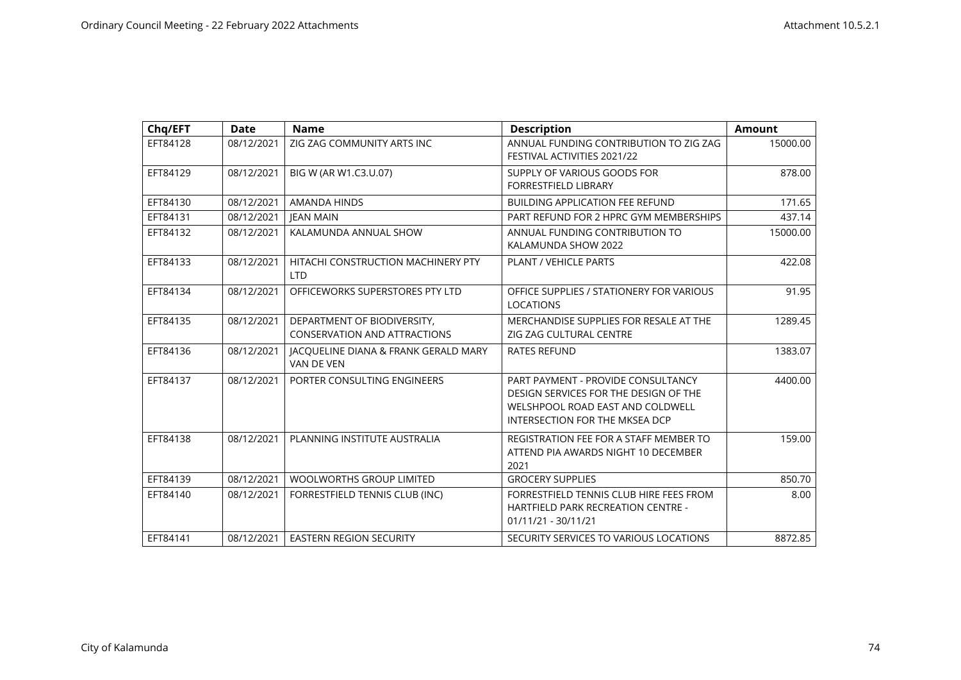| Chg/EFT  | <b>Date</b> | <b>Name</b>                                                        | <b>Description</b>                                                                                                                                       | <b>Amount</b> |
|----------|-------------|--------------------------------------------------------------------|----------------------------------------------------------------------------------------------------------------------------------------------------------|---------------|
| EFT84128 | 08/12/2021  | ZIG ZAG COMMUNITY ARTS INC                                         | ANNUAL FUNDING CONTRIBUTION TO ZIG ZAG<br>FESTIVAL ACTIVITIES 2021/22                                                                                    | 15000.00      |
| EFT84129 | 08/12/2021  | BIG W (AR W1.C3.U.07)                                              | SUPPLY OF VARIOUS GOODS FOR<br><b>FORRESTFIELD LIBRARY</b>                                                                                               | 878.00        |
| EFT84130 | 08/12/2021  | AMANDA HINDS                                                       | <b>BUILDING APPLICATION FEE REFUND</b>                                                                                                                   | 171.65        |
| EFT84131 | 08/12/2021  | <b>IEAN MAIN</b>                                                   | PART REFUND FOR 2 HPRC GYM MEMBERSHIPS                                                                                                                   | 437.14        |
| EFT84132 | 08/12/2021  | KALAMUNDA ANNUAL SHOW                                              | ANNUAL FUNDING CONTRIBUTION TO<br>KALAMUNDA SHOW 2022                                                                                                    | 15000.00      |
| EFT84133 | 08/12/2021  | HITACHI CONSTRUCTION MACHINERY PTY<br><b>LTD</b>                   | <b>PLANT / VEHICLE PARTS</b>                                                                                                                             | 422.08        |
| EFT84134 | 08/12/2021  | OFFICEWORKS SUPERSTORES PTY LTD                                    | OFFICE SUPPLIES / STATIONERY FOR VARIOUS<br><b>LOCATIONS</b>                                                                                             | 91.95         |
| EFT84135 | 08/12/2021  | DEPARTMENT OF BIODIVERSITY,<br><b>CONSERVATION AND ATTRACTIONS</b> | MERCHANDISE SUPPLIES FOR RESALE AT THE<br>ZIG ZAG CULTURAL CENTRE                                                                                        | 1289.45       |
| EFT84136 | 08/12/2021  | JACQUELINE DIANA & FRANK GERALD MARY<br>VAN DE VEN                 | <b>RATES REFUND</b>                                                                                                                                      | 1383.07       |
| EFT84137 | 08/12/2021  | PORTER CONSULTING ENGINEERS                                        | PART PAYMENT - PROVIDE CONSULTANCY<br>DESIGN SERVICES FOR THE DESIGN OF THE<br>WELSHPOOL ROAD EAST AND COLDWELL<br><b>INTERSECTION FOR THE MKSEA DCP</b> | 4400.00       |
| EFT84138 | 08/12/2021  | PLANNING INSTITUTE AUSTRALIA                                       | REGISTRATION FEE FOR A STAFF MEMBER TO<br>ATTEND PIA AWARDS NIGHT 10 DECEMBER<br>2021                                                                    | 159.00        |
| EFT84139 | 08/12/2021  | <b>WOOLWORTHS GROUP LIMITED</b>                                    | <b>GROCERY SUPPLIES</b>                                                                                                                                  | 850.70        |
| EFT84140 | 08/12/2021  | FORRESTFIELD TENNIS CLUB (INC)                                     | FORRESTFIELD TENNIS CLUB HIRE FEES FROM<br>HARTFIELD PARK RECREATION CENTRE -<br>01/11/21 - 30/11/21                                                     | 8.00          |
| EFT84141 | 08/12/2021  | <b>EASTERN REGION SECURITY</b>                                     | SECURITY SERVICES TO VARIOUS LOCATIONS                                                                                                                   | 8872.85       |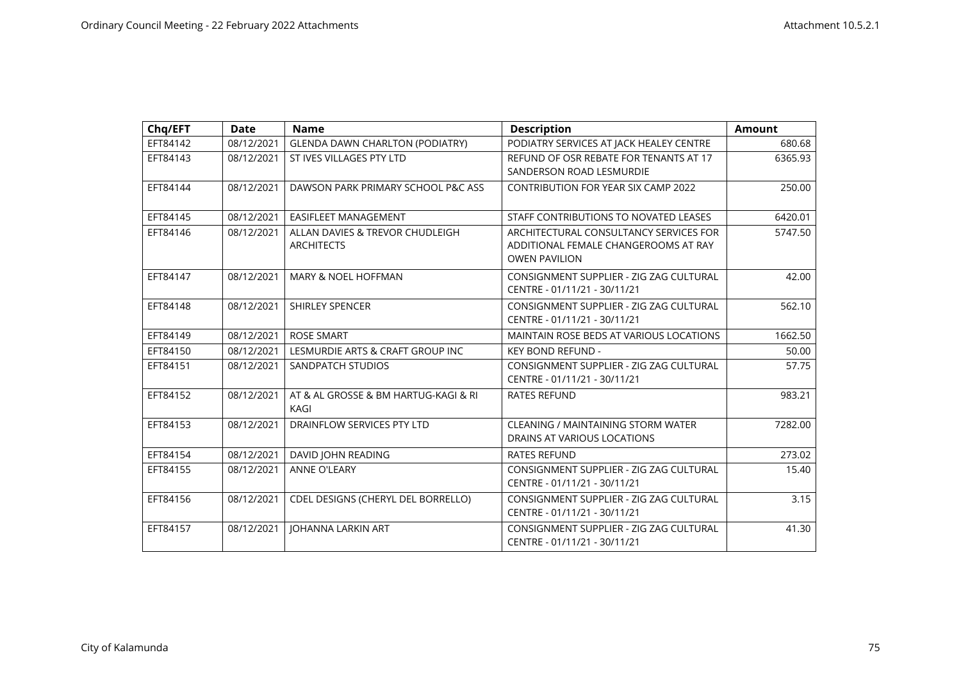| Chq/EFT  | <b>Date</b> | <b>Name</b>                                          | <b>Description</b>                                                                                     | Amount  |
|----------|-------------|------------------------------------------------------|--------------------------------------------------------------------------------------------------------|---------|
| EFT84142 | 08/12/2021  | <b>GLENDA DAWN CHARLTON (PODIATRY)</b>               | PODIATRY SERVICES AT JACK HEALEY CENTRE                                                                | 680.68  |
| EFT84143 | 08/12/2021  | ST IVES VILLAGES PTY LTD                             | REFUND OF OSR REBATE FOR TENANTS AT 17<br>SANDERSON ROAD LESMURDIE                                     | 6365.93 |
| EFT84144 | 08/12/2021  | DAWSON PARK PRIMARY SCHOOL P&C ASS                   | <b>CONTRIBUTION FOR YEAR SIX CAMP 2022</b>                                                             | 250.00  |
| EFT84145 | 08/12/2021  | <b>EASIFLEET MANAGEMENT</b>                          | STAFF CONTRIBUTIONS TO NOVATED LEASES                                                                  | 6420.01 |
| EFT84146 | 08/12/2021  | ALLAN DAVIES & TREVOR CHUDLEIGH<br><b>ARCHITECTS</b> | ARCHITECTURAL CONSULTANCY SERVICES FOR<br>ADDITIONAL FEMALE CHANGEROOMS AT RAY<br><b>OWEN PAVILION</b> | 5747.50 |
| EFT84147 | 08/12/2021  | <b>MARY &amp; NOEL HOFFMAN</b>                       | CONSIGNMENT SUPPLIER - ZIG ZAG CULTURAL<br>CENTRE - 01/11/21 - 30/11/21                                | 42.00   |
| EFT84148 | 08/12/2021  | <b>SHIRLEY SPENCER</b>                               | CONSIGNMENT SUPPLIER - ZIG ZAG CULTURAL<br>CENTRE - 01/11/21 - 30/11/21                                | 562.10  |
| EFT84149 | 08/12/2021  | <b>ROSE SMART</b>                                    | MAINTAIN ROSE BEDS AT VARIOUS LOCATIONS                                                                | 1662.50 |
| EFT84150 | 08/12/2021  | LESMURDIE ARTS & CRAFT GROUP INC                     | <b>KEY BOND REFUND -</b>                                                                               | 50.00   |
| EFT84151 | 08/12/2021  | SANDPATCH STUDIOS                                    | CONSIGNMENT SUPPLIER - ZIG ZAG CULTURAL<br>CENTRE - 01/11/21 - 30/11/21                                | 57.75   |
| EFT84152 | 08/12/2021  | AT & AL GROSSE & BM HARTUG-KAGI & RI<br>KAGI         | <b>RATES REFUND</b>                                                                                    | 983.21  |
| EFT84153 | 08/12/2021  | DRAINFLOW SERVICES PTY LTD                           | <b>CLEANING / MAINTAINING STORM WATER</b><br>DRAINS AT VARIOUS LOCATIONS                               | 7282.00 |
| EFT84154 | 08/12/2021  | DAVID JOHN READING                                   | <b>RATES REFUND</b>                                                                                    | 273.02  |
| EFT84155 | 08/12/2021  | <b>ANNE O'LEARY</b>                                  | CONSIGNMENT SUPPLIER - ZIG ZAG CULTURAL<br>CENTRE - 01/11/21 - 30/11/21                                | 15.40   |
| EFT84156 | 08/12/2021  | CDEL DESIGNS (CHERYL DEL BORRELLO)                   | CONSIGNMENT SUPPLIER - ZIG ZAG CULTURAL<br>CENTRE - 01/11/21 - 30/11/21                                | 3.15    |
| EFT84157 | 08/12/2021  | <b>JOHANNA LARKIN ART</b>                            | CONSIGNMENT SUPPLIER - ZIG ZAG CULTURAL<br>CENTRE - 01/11/21 - 30/11/21                                | 41.30   |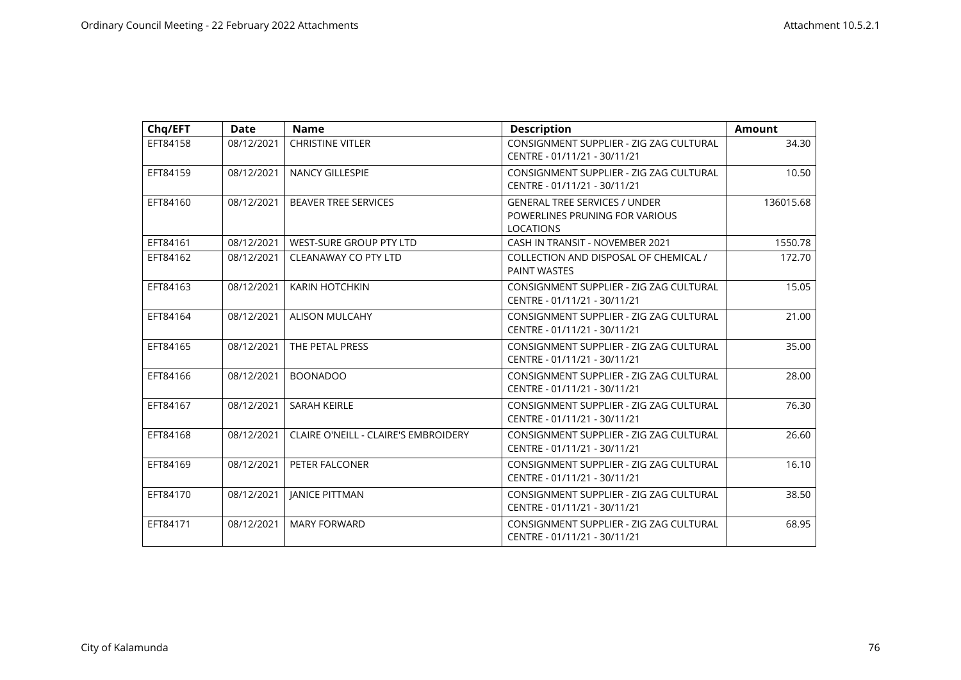| Chq/EFT  | <b>Date</b> | <b>Name</b>                                 | <b>Description</b>                                                                         | <b>Amount</b> |
|----------|-------------|---------------------------------------------|--------------------------------------------------------------------------------------------|---------------|
| EFT84158 | 08/12/2021  | <b>CHRISTINE VITLER</b>                     | CONSIGNMENT SUPPLIER - ZIG ZAG CULTURAL<br>CENTRE - 01/11/21 - 30/11/21                    | 34.30         |
| EFT84159 | 08/12/2021  | <b>NANCY GILLESPIE</b>                      | CONSIGNMENT SUPPLIER - ZIG ZAG CULTURAL<br>CENTRE - 01/11/21 - 30/11/21                    | 10.50         |
| EFT84160 | 08/12/2021  | <b>BEAVER TREE SERVICES</b>                 | <b>GENERAL TREE SERVICES / UNDER</b><br>POWERLINES PRUNING FOR VARIOUS<br><b>LOCATIONS</b> | 136015.68     |
| EFT84161 | 08/12/2021  | <b>WEST-SURE GROUP PTY LTD</b>              | CASH IN TRANSIT - NOVEMBER 2021                                                            | 1550.78       |
| EFT84162 | 08/12/2021  | <b>CLEANAWAY CO PTY LTD</b>                 | COLLECTION AND DISPOSAL OF CHEMICAL /<br>PAINT WASTES                                      | 172.70        |
| EFT84163 | 08/12/2021  | <b>KARIN HOTCHKIN</b>                       | CONSIGNMENT SUPPLIER - ZIG ZAG CULTURAL<br>CENTRE - 01/11/21 - 30/11/21                    | 15.05         |
| EFT84164 | 08/12/2021  | <b>ALISON MULCAHY</b>                       | CONSIGNMENT SUPPLIER - ZIG ZAG CULTURAL<br>CENTRE - 01/11/21 - 30/11/21                    | 21.00         |
| EFT84165 | 08/12/2021  | THE PETAL PRESS                             | CONSIGNMENT SUPPLIER - ZIG ZAG CULTURAL<br>CENTRE - 01/11/21 - 30/11/21                    | 35.00         |
| EFT84166 | 08/12/2021  | <b>BOONADOO</b>                             | CONSIGNMENT SUPPLIER - ZIG ZAG CULTURAL<br>CENTRE - 01/11/21 - 30/11/21                    | 28.00         |
| EFT84167 | 08/12/2021  | <b>SARAH KEIRLE</b>                         | CONSIGNMENT SUPPLIER - ZIG ZAG CULTURAL<br>CENTRE - 01/11/21 - 30/11/21                    | 76.30         |
| EFT84168 | 08/12/2021  | <b>CLAIRE O'NEILL - CLAIRE'S EMBROIDERY</b> | CONSIGNMENT SUPPLIER - ZIG ZAG CULTURAL<br>CENTRE - 01/11/21 - 30/11/21                    | 26.60         |
| EFT84169 | 08/12/2021  | PETER FALCONER                              | CONSIGNMENT SUPPLIER - ZIG ZAG CULTURAL<br>CENTRE - 01/11/21 - 30/11/21                    | 16.10         |
| EFT84170 | 08/12/2021  | <b>JANICE PITTMAN</b>                       | CONSIGNMENT SUPPLIER - ZIG ZAG CULTURAL<br>CENTRE - 01/11/21 - 30/11/21                    | 38.50         |
| EFT84171 | 08/12/2021  | <b>MARY FORWARD</b>                         | CONSIGNMENT SUPPLIER - ZIG ZAG CULTURAL<br>CENTRE - 01/11/21 - 30/11/21                    | 68.95         |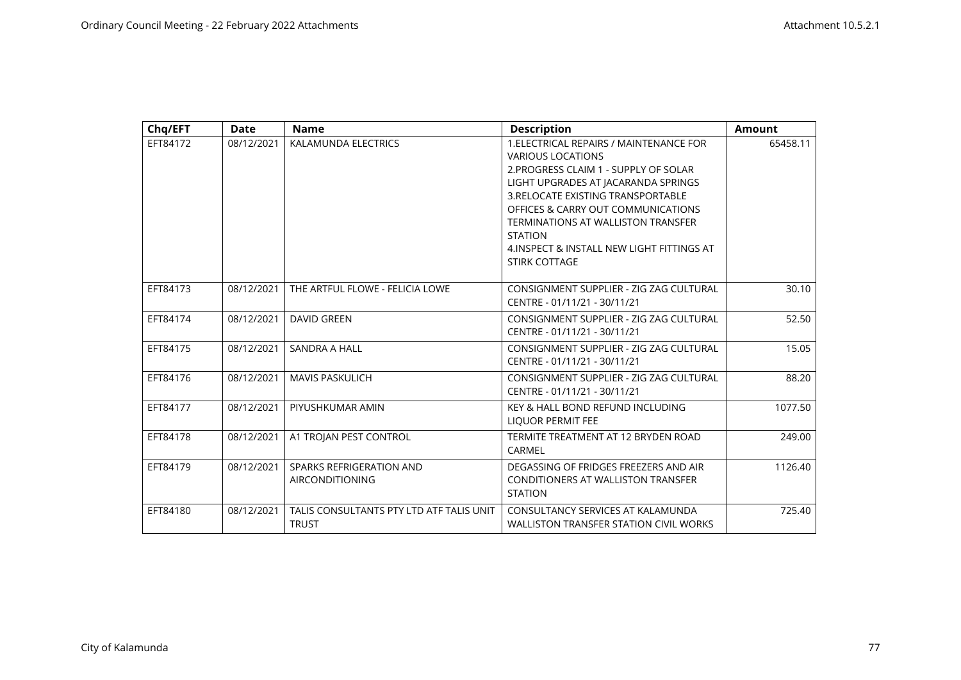| Chq/EFT  | <b>Date</b> | <b>Name</b>                                              | <b>Description</b>                                                                                                                                                                                                                                                                                                                                            | <b>Amount</b> |
|----------|-------------|----------------------------------------------------------|---------------------------------------------------------------------------------------------------------------------------------------------------------------------------------------------------------------------------------------------------------------------------------------------------------------------------------------------------------------|---------------|
| EFT84172 | 08/12/2021  | KALAMUNDA ELECTRICS                                      | 1. ELECTRICAL REPAIRS / MAINTENANCE FOR<br><b>VARIOUS LOCATIONS</b><br>2. PROGRESS CLAIM 1 - SUPPLY OF SOLAR<br>LIGHT UPGRADES AT JACARANDA SPRINGS<br>3. RELOCATE EXISTING TRANSPORTABLE<br>OFFICES & CARRY OUT COMMUNICATIONS<br><b>TERMINATIONS AT WALLISTON TRANSFER</b><br><b>STATION</b><br>4. INSPECT & INSTALL NEW LIGHT FITTINGS AT<br>STIRK COTTAGE | 65458.11      |
| EFT84173 | 08/12/2021  | THE ARTFUL FLOWE - FELICIA LOWE                          | CONSIGNMENT SUPPLIER - ZIG ZAG CULTURAL<br>CENTRE - 01/11/21 - 30/11/21                                                                                                                                                                                                                                                                                       | 30.10         |
| EFT84174 | 08/12/2021  | <b>DAVID GREEN</b>                                       | CONSIGNMENT SUPPLIER - ZIG ZAG CULTURAL<br>CENTRE - 01/11/21 - 30/11/21                                                                                                                                                                                                                                                                                       | 52.50         |
| EFT84175 | 08/12/2021  | SANDRA A HALL                                            | CONSIGNMENT SUPPLIER - ZIG ZAG CULTURAL<br>CENTRE - 01/11/21 - 30/11/21                                                                                                                                                                                                                                                                                       | 15.05         |
| EFT84176 | 08/12/2021  | <b>MAVIS PASKULICH</b>                                   | CONSIGNMENT SUPPLIER - ZIG ZAG CULTURAL<br>CENTRE - 01/11/21 - 30/11/21                                                                                                                                                                                                                                                                                       | 88.20         |
| EFT84177 | 08/12/2021  | PIYUSHKUMAR AMIN                                         | KEY & HALL BOND REFUND INCLUDING<br>LIQUOR PERMIT FEE                                                                                                                                                                                                                                                                                                         | 1077.50       |
| EFT84178 | 08/12/2021  | A1 TROJAN PEST CONTROL                                   | TERMITE TREATMENT AT 12 BRYDEN ROAD<br>CARMEL                                                                                                                                                                                                                                                                                                                 | 249.00        |
| EFT84179 | 08/12/2021  | SPARKS REFRIGERATION AND<br><b>AIRCONDITIONING</b>       | DEGASSING OF FRIDGES FREEZERS AND AIR<br>CONDITIONERS AT WALLISTON TRANSFER<br><b>STATION</b>                                                                                                                                                                                                                                                                 | 1126.40       |
| EFT84180 | 08/12/2021  | TALIS CONSULTANTS PTY LTD ATF TALIS UNIT<br><b>TRUST</b> | CONSULTANCY SERVICES AT KALAMUNDA<br><b>WALLISTON TRANSFER STATION CIVIL WORKS</b>                                                                                                                                                                                                                                                                            | 725.40        |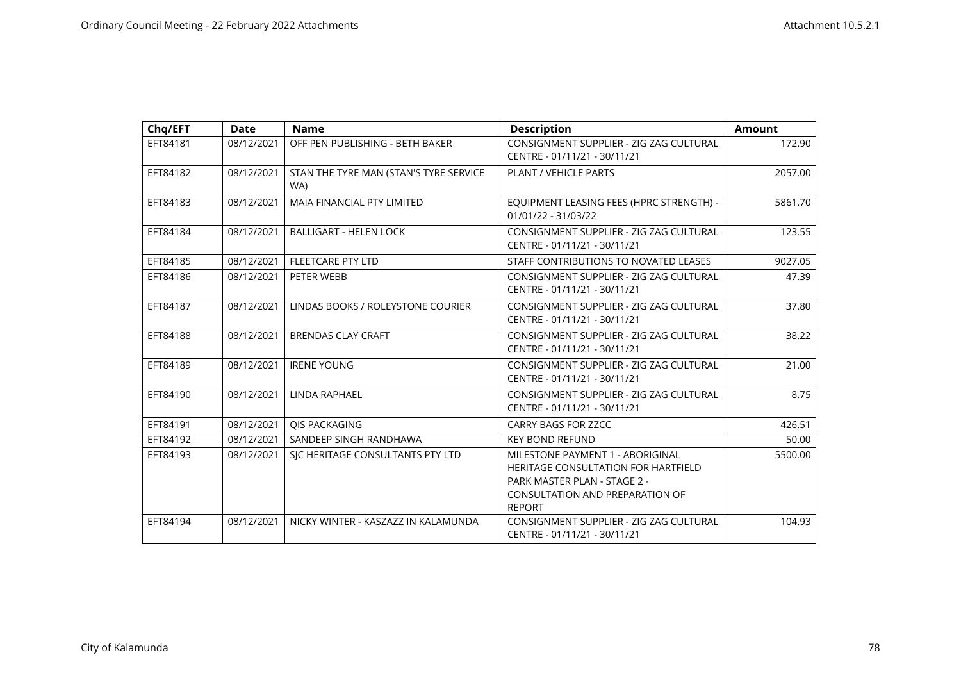| Chq/EFT  | <b>Date</b> | <b>Name</b>                                   | <b>Description</b>                                                                                                                                                 | <b>Amount</b> |
|----------|-------------|-----------------------------------------------|--------------------------------------------------------------------------------------------------------------------------------------------------------------------|---------------|
| EFT84181 | 08/12/2021  | OFF PEN PUBLISHING - BETH BAKER               | CONSIGNMENT SUPPLIER - ZIG ZAG CULTURAL<br>CENTRE - 01/11/21 - 30/11/21                                                                                            | 172.90        |
| EFT84182 | 08/12/2021  | STAN THE TYRE MAN (STAN'S TYRE SERVICE<br>WA) | <b>PLANT / VEHICLE PARTS</b>                                                                                                                                       | 2057.00       |
| EFT84183 | 08/12/2021  | <b>MAIA FINANCIAL PTY LIMITED</b>             | EQUIPMENT LEASING FEES (HPRC STRENGTH) -<br>01/01/22 - 31/03/22                                                                                                    | 5861.70       |
| EFT84184 | 08/12/2021  | <b>BALLIGART - HELEN LOCK</b>                 | CONSIGNMENT SUPPLIER - ZIG ZAG CULTURAL<br>CENTRE - 01/11/21 - 30/11/21                                                                                            | 123.55        |
| EFT84185 | 08/12/2021  | <b>FLEETCARE PTY LTD</b>                      | STAFF CONTRIBUTIONS TO NOVATED LEASES                                                                                                                              | 9027.05       |
| EFT84186 | 08/12/2021  | PETER WEBB                                    | CONSIGNMENT SUPPLIER - ZIG ZAG CULTURAL<br>CENTRE - 01/11/21 - 30/11/21                                                                                            | 47.39         |
| EFT84187 | 08/12/2021  | LINDAS BOOKS / ROLEYSTONE COURIER             | CONSIGNMENT SUPPLIER - ZIG ZAG CULTURAL<br>CENTRE - 01/11/21 - 30/11/21                                                                                            | 37.80         |
| EFT84188 | 08/12/2021  | <b>BRENDAS CLAY CRAFT</b>                     | CONSIGNMENT SUPPLIER - ZIG ZAG CULTURAL<br>CENTRE - 01/11/21 - 30/11/21                                                                                            | 38.22         |
| EFT84189 | 08/12/2021  | <b>IRENE YOUNG</b>                            | CONSIGNMENT SUPPLIER - ZIG ZAG CULTURAL<br>CENTRE - 01/11/21 - 30/11/21                                                                                            | 21.00         |
| EFT84190 | 08/12/2021  | <b>LINDA RAPHAEL</b>                          | CONSIGNMENT SUPPLIER - ZIG ZAG CULTURAL<br>CENTRE - 01/11/21 - 30/11/21                                                                                            | 8.75          |
| EFT84191 | 08/12/2021  | QIS PACKAGING                                 | <b>CARRY BAGS FOR ZZCC</b>                                                                                                                                         | 426.51        |
| EFT84192 | 08/12/2021  | SANDEEP SINGH RANDHAWA                        | <b>KEY BOND REFUND</b>                                                                                                                                             | 50.00         |
| EFT84193 | 08/12/2021  | SIC HERITAGE CONSULTANTS PTY LTD              | MILESTONE PAYMENT 1 - ABORIGINAL<br><b>HERITAGE CONSULTATION FOR HARTFIELD</b><br>PARK MASTER PLAN - STAGE 2 -<br>CONSULTATION AND PREPARATION OF<br><b>REPORT</b> | 5500.00       |
| EFT84194 | 08/12/2021  | NICKY WINTER - KASZAZZ IN KALAMUNDA           | CONSIGNMENT SUPPLIER - ZIG ZAG CULTURAL<br>CENTRE - 01/11/21 - 30/11/21                                                                                            | 104.93        |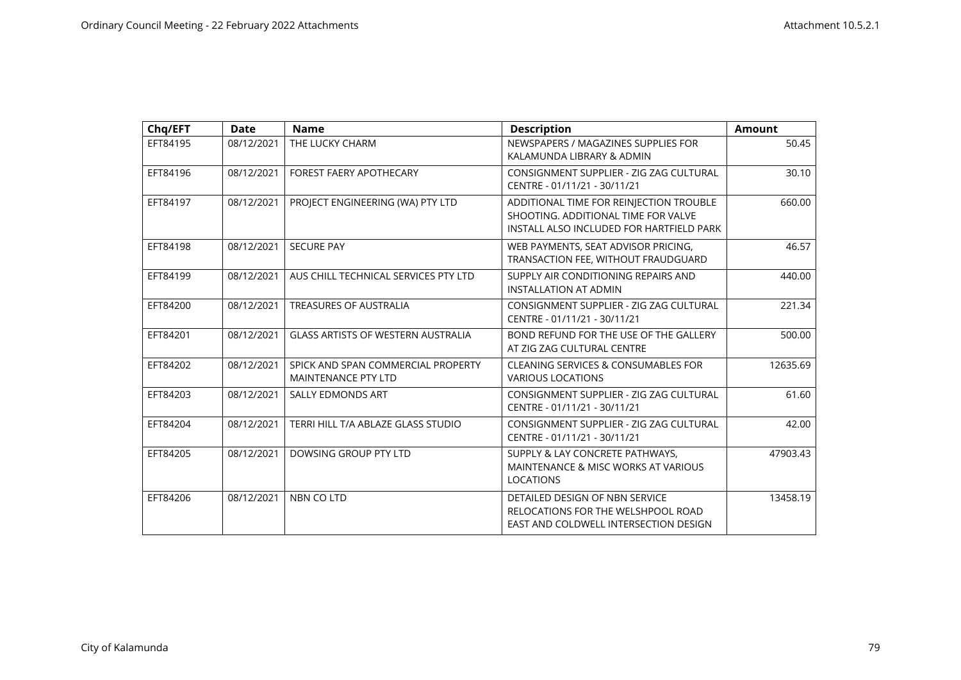| Chq/EFT  | <b>Date</b> | <b>Name</b>                                                      | <b>Description</b>                                                                                                         | <b>Amount</b> |
|----------|-------------|------------------------------------------------------------------|----------------------------------------------------------------------------------------------------------------------------|---------------|
| EFT84195 | 08/12/2021  | THE LUCKY CHARM                                                  | NEWSPAPERS / MAGAZINES SUPPLIES FOR<br>KALAMUNDA LIBRARY & ADMIN                                                           | 50.45         |
| EFT84196 | 08/12/2021  | <b>FOREST FAERY APOTHECARY</b>                                   | CONSIGNMENT SUPPLIER - ZIG ZAG CULTURAL<br>CENTRE - 01/11/21 - 30/11/21                                                    | 30.10         |
| EFT84197 | 08/12/2021  | PROJECT ENGINEERING (WA) PTY LTD                                 | ADDITIONAL TIME FOR REINJECTION TROUBLE<br>SHOOTING. ADDITIONAL TIME FOR VALVE<br>INSTALL ALSO INCLUDED FOR HARTFIELD PARK | 660.00        |
| EFT84198 | 08/12/2021  | <b>SECURE PAY</b>                                                | WEB PAYMENTS, SEAT ADVISOR PRICING,<br>TRANSACTION FEE, WITHOUT FRAUDGUARD                                                 | 46.57         |
| EFT84199 | 08/12/2021  | AUS CHILL TECHNICAL SERVICES PTY LTD                             | SUPPLY AIR CONDITIONING REPAIRS AND<br><b>INSTALLATION AT ADMIN</b>                                                        | 440.00        |
| EFT84200 | 08/12/2021  | <b>TREASURES OF AUSTRALIA</b>                                    | CONSIGNMENT SUPPLIER - ZIG ZAG CULTURAL<br>CENTRE - 01/11/21 - 30/11/21                                                    | 221.34        |
| EFT84201 | 08/12/2021  | <b>GLASS ARTISTS OF WESTERN AUSTRALIA</b>                        | BOND REFUND FOR THE USE OF THE GALLERY<br>AT ZIG ZAG CULTURAL CENTRE                                                       | 500.00        |
| EFT84202 | 08/12/2021  | SPICK AND SPAN COMMERCIAL PROPERTY<br><b>MAINTENANCE PTY LTD</b> | <b>CLEANING SERVICES &amp; CONSUMABLES FOR</b><br><b>VARIOUS LOCATIONS</b>                                                 | 12635.69      |
| EFT84203 | 08/12/2021  | <b>SALLY EDMONDS ART</b>                                         | CONSIGNMENT SUPPLIER - ZIG ZAG CULTURAL<br>CENTRE - 01/11/21 - 30/11/21                                                    | 61.60         |
| EFT84204 | 08/12/2021  | TERRI HILL T/A ABLAZE GLASS STUDIO                               | CONSIGNMENT SUPPLIER - ZIG ZAG CULTURAL<br>CENTRE - 01/11/21 - 30/11/21                                                    | 42.00         |
| EFT84205 | 08/12/2021  | DOWSING GROUP PTY LTD                                            | SUPPLY & LAY CONCRETE PATHWAYS,<br><b>MAINTENANCE &amp; MISC WORKS AT VARIOUS</b><br><b>LOCATIONS</b>                      | 47903.43      |
| EFT84206 | 08/12/2021  | NBN CO LTD                                                       | DETAILED DESIGN OF NBN SERVICE<br>RELOCATIONS FOR THE WELSHPOOL ROAD<br>EAST AND COLDWELL INTERSECTION DESIGN              | 13458.19      |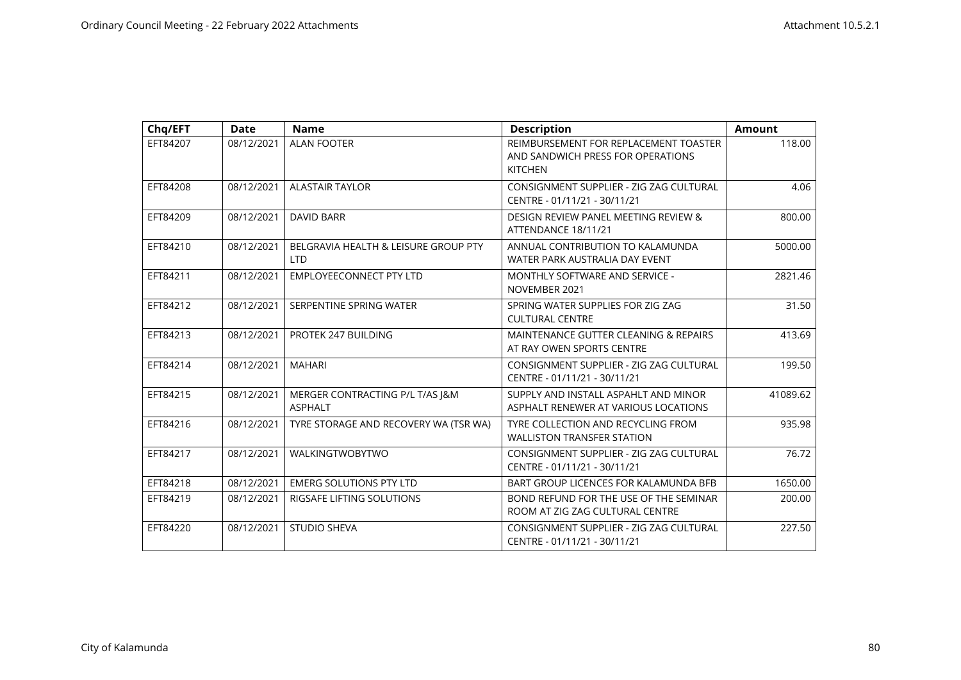| Chq/EFT  | <b>Date</b> | <b>Name</b>                                        | <b>Description</b>                                                                           | <b>Amount</b> |
|----------|-------------|----------------------------------------------------|----------------------------------------------------------------------------------------------|---------------|
| EFT84207 | 08/12/2021  | <b>ALAN FOOTER</b>                                 | REIMBURSEMENT FOR REPLACEMENT TOASTER<br>AND SANDWICH PRESS FOR OPERATIONS<br><b>KITCHEN</b> | 118.00        |
| EFT84208 | 08/12/2021  | <b>ALASTAIR TAYLOR</b>                             | CONSIGNMENT SUPPLIER - ZIG ZAG CULTURAL<br>CENTRE - 01/11/21 - 30/11/21                      | 4.06          |
| EFT84209 | 08/12/2021  | DAVID BARR                                         | DESIGN REVIEW PANEL MEETING REVIEW &<br>ATTENDANCE 18/11/21                                  | 800.00        |
| EFT84210 | 08/12/2021  | BELGRAVIA HEALTH & LEISURE GROUP PTY<br><b>LTD</b> | ANNUAL CONTRIBUTION TO KALAMUNDA<br>WATER PARK AUSTRALIA DAY EVENT                           | 5000.00       |
| EFT84211 | 08/12/2021  | <b>EMPLOYEECONNECT PTY LTD</b>                     | MONTHLY SOFTWARE AND SERVICE -<br>NOVEMBER 2021                                              | 2821.46       |
| EFT84212 | 08/12/2021  | SERPENTINE SPRING WATER                            | SPRING WATER SUPPLIES FOR ZIG ZAG<br><b>CULTURAL CENTRE</b>                                  | 31.50         |
| EFT84213 | 08/12/2021  | PROTEK 247 BUILDING                                | MAINTENANCE GUTTER CLEANING & REPAIRS<br>AT RAY OWEN SPORTS CENTRE                           | 413.69        |
| EFT84214 | 08/12/2021  | <b>MAHARI</b>                                      | CONSIGNMENT SUPPLIER - ZIG ZAG CULTURAL<br>CENTRE - 01/11/21 - 30/11/21                      | 199.50        |
| EFT84215 | 08/12/2021  | MERGER CONTRACTING P/L T/AS J&M<br><b>ASPHALT</b>  | SUPPLY AND INSTALL ASPAHLT AND MINOR<br>ASPHALT RENEWER AT VARIOUS LOCATIONS                 | 41089.62      |
| EFT84216 | 08/12/2021  | TYRE STORAGE AND RECOVERY WA (TSR WA)              | TYRE COLLECTION AND RECYCLING FROM<br><b>WALLISTON TRANSFER STATION</b>                      | 935.98        |
| EFT84217 | 08/12/2021  | <b>WALKINGTWOBYTWO</b>                             | CONSIGNMENT SUPPLIER - ZIG ZAG CULTURAL<br>CENTRE - 01/11/21 - 30/11/21                      | 76.72         |
| EFT84218 | 08/12/2021  | <b>EMERG SOLUTIONS PTY LTD</b>                     | BART GROUP LICENCES FOR KALAMUNDA BFB                                                        | 1650.00       |
| EFT84219 | 08/12/2021  | RIGSAFE LIFTING SOLUTIONS                          | BOND REFUND FOR THE USE OF THE SEMINAR<br>ROOM AT ZIG ZAG CULTURAL CENTRE                    | 200.00        |
| EFT84220 | 08/12/2021  | <b>STUDIO SHEVA</b>                                | CONSIGNMENT SUPPLIER - ZIG ZAG CULTURAL<br>CENTRE - 01/11/21 - 30/11/21                      | 227.50        |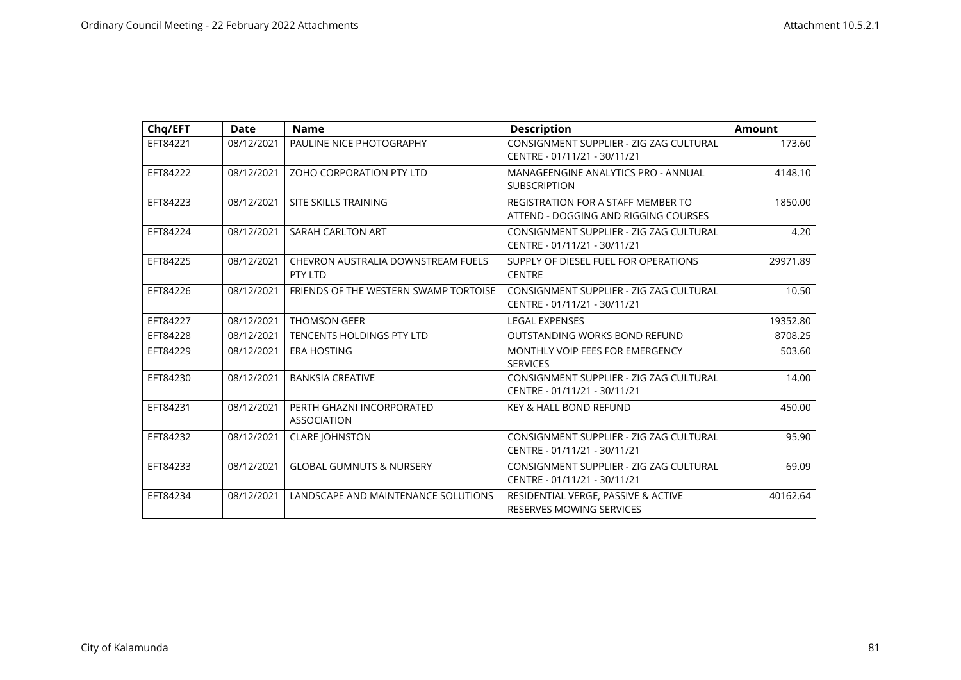| Chq/EFT  | <b>Date</b> | <b>Name</b>                                     | <b>Description</b>                                                         | <b>Amount</b> |
|----------|-------------|-------------------------------------------------|----------------------------------------------------------------------------|---------------|
| EFT84221 | 08/12/2021  | PAULINE NICE PHOTOGRAPHY                        | CONSIGNMENT SUPPLIER - ZIG ZAG CULTURAL<br>CENTRE - 01/11/21 - 30/11/21    | 173.60        |
| EFT84222 | 08/12/2021  | ZOHO CORPORATION PTY LTD                        | MANAGEENGINE ANALYTICS PRO - ANNUAL<br><b>SUBSCRIPTION</b>                 | 4148.10       |
| EFT84223 | 08/12/2021  | SITE SKILLS TRAINING                            | REGISTRATION FOR A STAFF MEMBER TO<br>ATTEND - DOGGING AND RIGGING COURSES | 1850.00       |
| EFT84224 | 08/12/2021  | SARAH CARLTON ART                               | CONSIGNMENT SUPPLIER - ZIG ZAG CULTURAL<br>CENTRE - 01/11/21 - 30/11/21    | 4.20          |
| EFT84225 | 08/12/2021  | CHEVRON AUSTRALIA DOWNSTREAM FUELS<br>PTY LTD   | SUPPLY OF DIESEL FUEL FOR OPERATIONS<br><b>CENTRE</b>                      | 29971.89      |
| EFT84226 | 08/12/2021  | FRIENDS OF THE WESTERN SWAMP TORTOISE           | CONSIGNMENT SUPPLIER - ZIG ZAG CULTURAL<br>CENTRE - 01/11/21 - 30/11/21    | 10.50         |
| EFT84227 | 08/12/2021  | <b>THOMSON GEER</b>                             | <b>LEGAL EXPENSES</b>                                                      | 19352.80      |
| EFT84228 | 08/12/2021  | TENCENTS HOLDINGS PTY LTD                       | OUTSTANDING WORKS BOND REFUND                                              | 8708.25       |
| EFT84229 | 08/12/2021  | <b>ERA HOSTING</b>                              | MONTHLY VOIP FEES FOR EMERGENCY<br><b>SERVICES</b>                         | 503.60        |
| EFT84230 | 08/12/2021  | <b>BANKSIA CREATIVE</b>                         | CONSIGNMENT SUPPLIER - ZIG ZAG CULTURAL<br>CENTRE - 01/11/21 - 30/11/21    | 14.00         |
| EFT84231 | 08/12/2021  | PERTH GHAZNI INCORPORATED<br><b>ASSOCIATION</b> | <b>KEY &amp; HALL BOND REFUND</b>                                          | 450.00        |
| EFT84232 | 08/12/2021  | <b>CLARE JOHNSTON</b>                           | CONSIGNMENT SUPPLIER - ZIG ZAG CULTURAL<br>CENTRE - 01/11/21 - 30/11/21    | 95.90         |
| EFT84233 | 08/12/2021  | <b>GLOBAL GUMNUTS &amp; NURSERY</b>             | CONSIGNMENT SUPPLIER - ZIG ZAG CULTURAL<br>CENTRE - 01/11/21 - 30/11/21    | 69.09         |
| EFT84234 | 08/12/2021  | LANDSCAPE AND MAINTENANCE SOLUTIONS             | RESIDENTIAL VERGE, PASSIVE & ACTIVE<br>RESERVES MOWING SERVICES            | 40162.64      |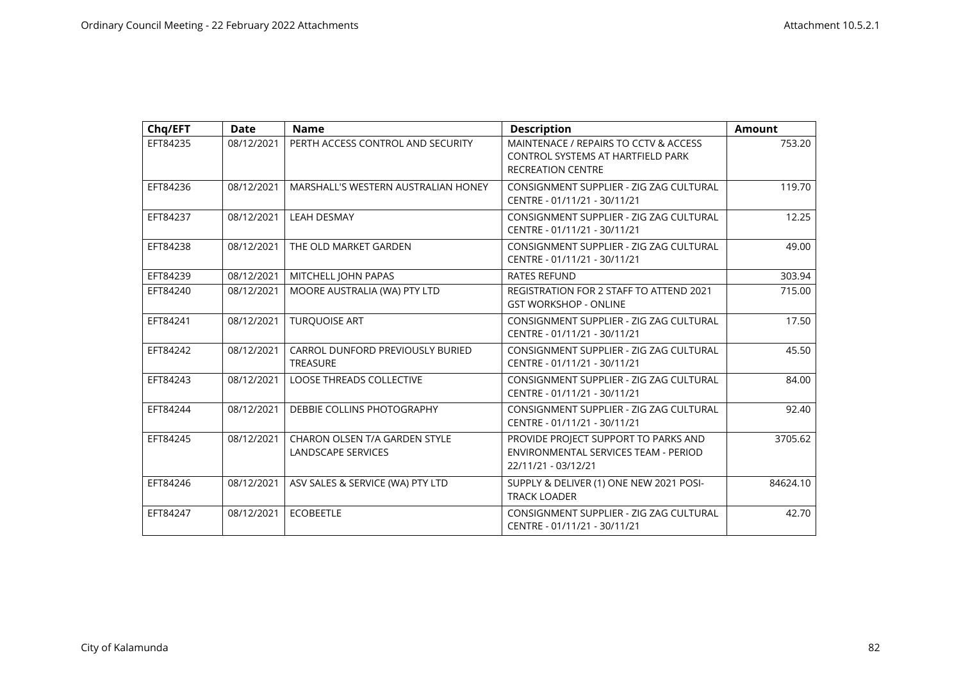| Chq/EFT  | <b>Date</b> | <b>Name</b>                                                | <b>Description</b>                                                                                     | <b>Amount</b> |
|----------|-------------|------------------------------------------------------------|--------------------------------------------------------------------------------------------------------|---------------|
| EFT84235 | 08/12/2021  | PERTH ACCESS CONTROL AND SECURITY                          | MAINTENACE / REPAIRS TO CCTV & ACCESS<br>CONTROL SYSTEMS AT HARTFIELD PARK<br><b>RECREATION CENTRE</b> | 753.20        |
| EFT84236 | 08/12/2021  | MARSHALL'S WESTERN AUSTRALIAN HONEY                        | CONSIGNMENT SUPPLIER - ZIG ZAG CULTURAL<br>CENTRE - 01/11/21 - 30/11/21                                | 119.70        |
| EFT84237 | 08/12/2021  | <b>LEAH DESMAY</b>                                         | CONSIGNMENT SUPPLIER - ZIG ZAG CULTURAL<br>CENTRE - 01/11/21 - 30/11/21                                | 12.25         |
| EFT84238 | 08/12/2021  | THE OLD MARKET GARDEN                                      | CONSIGNMENT SUPPLIER - ZIG ZAG CULTURAL<br>CENTRE - 01/11/21 - 30/11/21                                | 49.00         |
| EFT84239 | 08/12/2021  | MITCHELL JOHN PAPAS                                        | <b>RATES REFUND</b>                                                                                    | 303.94        |
| EFT84240 | 08/12/2021  | MOORE AUSTRALIA (WA) PTY LTD                               | <b>REGISTRATION FOR 2 STAFF TO ATTEND 2021</b><br><b>GST WORKSHOP - ONLINE</b>                         | 715.00        |
| EFT84241 | 08/12/2021  | <b>TURQUOISE ART</b>                                       | CONSIGNMENT SUPPLIER - ZIG ZAG CULTURAL<br>CENTRE - 01/11/21 - 30/11/21                                | 17.50         |
| EFT84242 | 08/12/2021  | CARROL DUNFORD PREVIOUSLY BURIED<br><b>TREASURE</b>        | CONSIGNMENT SUPPLIER - ZIG ZAG CULTURAL<br>CENTRE - 01/11/21 - 30/11/21                                | 45.50         |
| EFT84243 | 08/12/2021  | LOOSE THREADS COLLECTIVE                                   | CONSIGNMENT SUPPLIER - ZIG ZAG CULTURAL<br>CENTRE - 01/11/21 - 30/11/21                                | 84.00         |
| EFT84244 | 08/12/2021  | DEBBIE COLLINS PHOTOGRAPHY                                 | CONSIGNMENT SUPPLIER - ZIG ZAG CULTURAL<br>CENTRE - 01/11/21 - 30/11/21                                | 92.40         |
| EFT84245 | 08/12/2021  | CHARON OLSEN T/A GARDEN STYLE<br><b>LANDSCAPE SERVICES</b> | PROVIDE PROJECT SUPPORT TO PARKS AND<br>ENVIRONMENTAL SERVICES TEAM - PERIOD<br>22/11/21 - 03/12/21    | 3705.62       |
| EFT84246 | 08/12/2021  | ASV SALES & SERVICE (WA) PTY LTD                           | SUPPLY & DELIVER (1) ONE NEW 2021 POSI-<br><b>TRACK LOADER</b>                                         | 84624.10      |
| EFT84247 | 08/12/2021  | <b>ECOBEETLE</b>                                           | CONSIGNMENT SUPPLIER - ZIG ZAG CULTURAL<br>CENTRE - 01/11/21 - 30/11/21                                | 42.70         |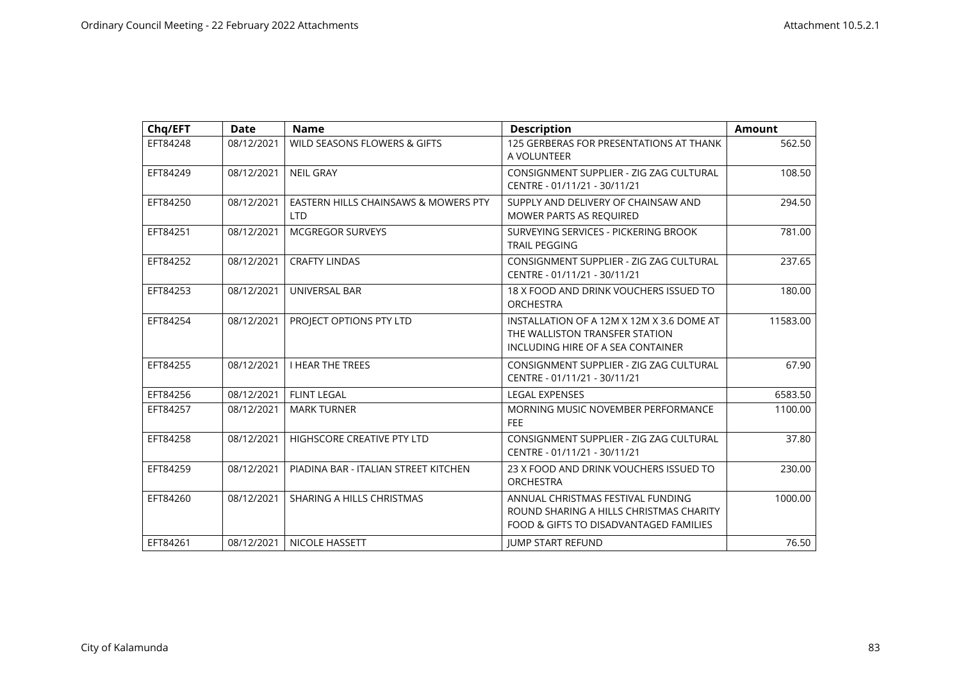| Chq/EFT  | <b>Date</b> | <b>Name</b>                                        | <b>Description</b>                                                                                                     | <b>Amount</b> |
|----------|-------------|----------------------------------------------------|------------------------------------------------------------------------------------------------------------------------|---------------|
| EFT84248 | 08/12/2021  | WILD SEASONS FLOWERS & GIFTS                       | 125 GERBERAS FOR PRESENTATIONS AT THANK<br>A VOLUNTEER                                                                 | 562.50        |
| EFT84249 | 08/12/2021  | <b>NEIL GRAY</b>                                   | CONSIGNMENT SUPPLIER - ZIG ZAG CULTURAL<br>CENTRE - 01/11/21 - 30/11/21                                                | 108.50        |
| EFT84250 | 08/12/2021  | EASTERN HILLS CHAINSAWS & MOWERS PTY<br><b>LTD</b> | SUPPLY AND DELIVERY OF CHAINSAW AND<br><b>MOWER PARTS AS REQUIRED</b>                                                  | 294.50        |
| EFT84251 | 08/12/2021  | <b>MCGREGOR SURVEYS</b>                            | SURVEYING SERVICES - PICKERING BROOK<br><b>TRAIL PEGGING</b>                                                           | 781.00        |
| EFT84252 | 08/12/2021  | <b>CRAFTY LINDAS</b>                               | CONSIGNMENT SUPPLIER - ZIG ZAG CULTURAL<br>CENTRE - 01/11/21 - 30/11/21                                                | 237.65        |
| EFT84253 | 08/12/2021  | UNIVERSAL BAR                                      | 18 X FOOD AND DRINK VOUCHERS ISSUED TO<br><b>ORCHESTRA</b>                                                             | 180.00        |
| EFT84254 | 08/12/2021  | PROJECT OPTIONS PTY LTD                            | INSTALLATION OF A 12M X 12M X 3.6 DOME AT<br>THE WALLISTON TRANSFER STATION<br>INCLUDING HIRE OF A SEA CONTAINER       | 11583.00      |
| EFT84255 | 08/12/2021  | <b>I HEAR THE TREES</b>                            | CONSIGNMENT SUPPLIER - ZIG ZAG CULTURAL<br>CENTRE - 01/11/21 - 30/11/21                                                | 67.90         |
| EFT84256 | 08/12/2021  | <b>FLINT LEGAL</b>                                 | <b>LEGAL EXPENSES</b>                                                                                                  | 6583.50       |
| EFT84257 | 08/12/2021  | <b>MARK TURNER</b>                                 | MORNING MUSIC NOVEMBER PERFORMANCE<br><b>FEE</b>                                                                       | 1100.00       |
| EFT84258 | 08/12/2021  | HIGHSCORE CREATIVE PTY LTD                         | CONSIGNMENT SUPPLIER - ZIG ZAG CULTURAL<br>CENTRE - 01/11/21 - 30/11/21                                                | 37.80         |
| EFT84259 | 08/12/2021  | PIADINA BAR - ITALIAN STREET KITCHEN               | 23 X FOOD AND DRINK VOUCHERS ISSUED TO<br><b>ORCHESTRA</b>                                                             | 230.00        |
| EFT84260 | 08/12/2021  | SHARING A HILLS CHRISTMAS                          | ANNUAL CHRISTMAS FESTIVAL FUNDING<br>ROUND SHARING A HILLS CHRISTMAS CHARITY<br>FOOD & GIFTS TO DISADVANTAGED FAMILIES | 1000.00       |
| EFT84261 | 08/12/2021  | <b>NICOLE HASSETT</b>                              | <b>JUMP START REFUND</b>                                                                                               | 76.50         |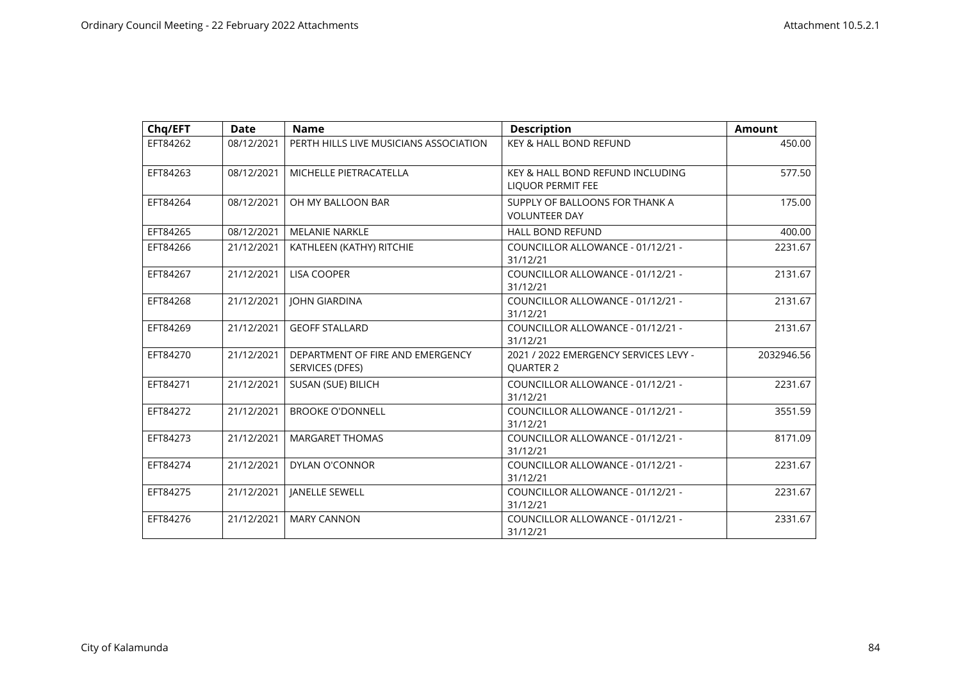| Chq/EFT  | <b>Date</b> | <b>Name</b>                                         | <b>Description</b>                                           | <b>Amount</b> |
|----------|-------------|-----------------------------------------------------|--------------------------------------------------------------|---------------|
| EFT84262 | 08/12/2021  | PERTH HILLS LIVE MUSICIANS ASSOCIATION              | KEY & HALL BOND REFUND                                       | 450.00        |
| EFT84263 | 08/12/2021  | MICHELLE PIETRACATELLA                              | KEY & HALL BOND REFUND INCLUDING<br><b>LIQUOR PERMIT FEE</b> | 577.50        |
| EFT84264 | 08/12/2021  | OH MY BALLOON BAR                                   | SUPPLY OF BALLOONS FOR THANK A<br><b>VOLUNTEER DAY</b>       | 175.00        |
| EFT84265 | 08/12/2021  | MELANIE NARKLE                                      | <b>HALL BOND REFUND</b>                                      | 400.00        |
| EFT84266 | 21/12/2021  | KATHLEEN (KATHY) RITCHIE                            | COUNCILLOR ALLOWANCE - 01/12/21 -<br>31/12/21                | 2231.67       |
| EFT84267 | 21/12/2021  | <b>LISA COOPER</b>                                  | COUNCILLOR ALLOWANCE - 01/12/21 -<br>31/12/21                | 2131.67       |
| EFT84268 | 21/12/2021  | <b>JOHN GIARDINA</b>                                | COUNCILLOR ALLOWANCE - 01/12/21 -<br>31/12/21                | 2131.67       |
| EFT84269 | 21/12/2021  | <b>GEOFF STALLARD</b>                               | COUNCILLOR ALLOWANCE - 01/12/21 -<br>31/12/21                | 2131.67       |
| EFT84270 | 21/12/2021  | DEPARTMENT OF FIRE AND EMERGENCY<br>SERVICES (DFES) | 2021 / 2022 EMERGENCY SERVICES LEVY -<br><b>OUARTER 2</b>    | 2032946.56    |
| EFT84271 | 21/12/2021  | SUSAN (SUE) BILICH                                  | COUNCILLOR ALLOWANCE - 01/12/21 -<br>31/12/21                | 2231.67       |
| EFT84272 | 21/12/2021  | <b>BROOKE O'DONNELL</b>                             | COUNCILLOR ALLOWANCE - 01/12/21 -<br>31/12/21                | 3551.59       |
| EFT84273 | 21/12/2021  | MARGARET THOMAS                                     | COUNCILLOR ALLOWANCE - 01/12/21 -<br>31/12/21                | 8171.09       |
| EFT84274 | 21/12/2021  | <b>DYLAN O'CONNOR</b>                               | COUNCILLOR ALLOWANCE - 01/12/21 -<br>31/12/21                | 2231.67       |
| EFT84275 | 21/12/2021  | JANELLE SEWELL                                      | COUNCILLOR ALLOWANCE - 01/12/21 -<br>31/12/21                | 2231.67       |
| EFT84276 | 21/12/2021  | <b>MARY CANNON</b>                                  | COUNCILLOR ALLOWANCE - 01/12/21 -<br>31/12/21                | 2331.67       |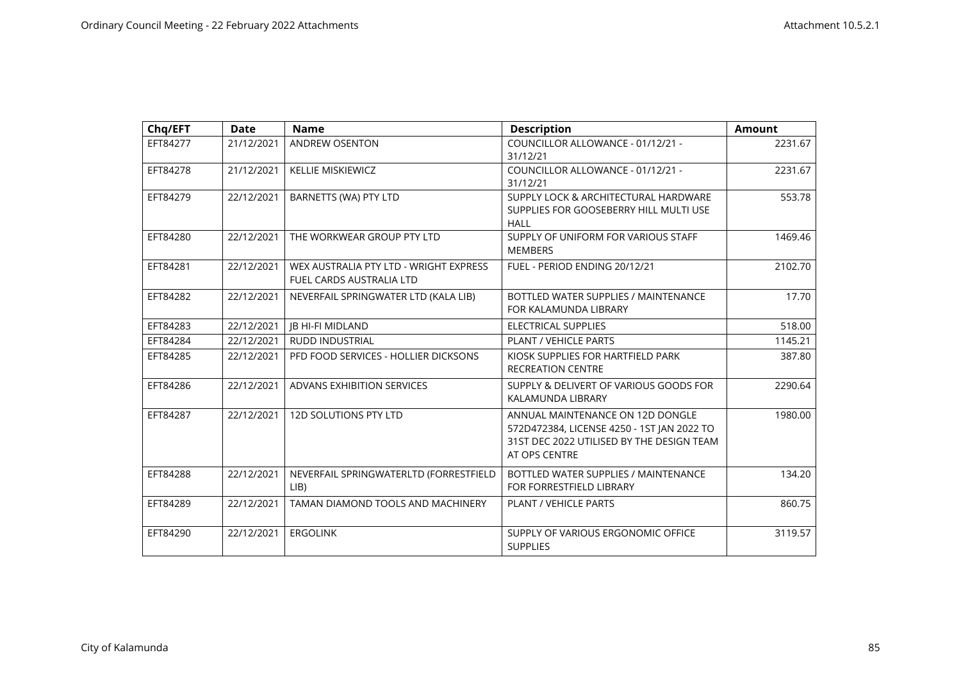| Chq/EFT  | <b>Date</b> | <b>Name</b>                                                               | <b>Description</b>                                                                                                                           | <b>Amount</b> |
|----------|-------------|---------------------------------------------------------------------------|----------------------------------------------------------------------------------------------------------------------------------------------|---------------|
| EFT84277 | 21/12/2021  | ANDREW OSENTON                                                            | COUNCILLOR ALLOWANCE - 01/12/21 -<br>31/12/21                                                                                                | 2231.67       |
| EFT84278 | 21/12/2021  | <b>KELLIE MISKIEWICZ</b>                                                  | COUNCILLOR ALLOWANCE - 01/12/21 -<br>31/12/21                                                                                                | 2231.67       |
| EFT84279 | 22/12/2021  | BARNETTS (WA) PTY LTD                                                     | SUPPLY LOCK & ARCHITECTURAL HARDWARE<br>SUPPLIES FOR GOOSEBERRY HILL MULTI USE<br>HALL                                                       | 553.78        |
| EFT84280 | 22/12/2021  | THE WORKWEAR GROUP PTY LTD                                                | SUPPLY OF UNIFORM FOR VARIOUS STAFF<br><b>MEMBERS</b>                                                                                        | 1469.46       |
| EFT84281 | 22/12/2021  | WEX AUSTRALIA PTY LTD - WRIGHT EXPRESS<br><b>FUEL CARDS AUSTRALIA LTD</b> | FUEL - PERIOD ENDING 20/12/21                                                                                                                | 2102.70       |
| EFT84282 | 22/12/2021  | NEVERFAIL SPRINGWATER LTD (KALA LIB)                                      | BOTTLED WATER SUPPLIES / MAINTENANCE<br>FOR KALAMUNDA LIBRARY                                                                                | 17.70         |
| EFT84283 | 22/12/2021  | <b>JB HI-FI MIDLAND</b>                                                   | <b>ELECTRICAL SUPPLIES</b>                                                                                                                   | 518.00        |
| EFT84284 | 22/12/2021  | RUDD INDUSTRIAL                                                           | PLANT / VEHICLE PARTS                                                                                                                        | 1145.21       |
| EFT84285 | 22/12/2021  | PFD FOOD SERVICES - HOLLIER DICKSONS                                      | KIOSK SUPPLIES FOR HARTFIELD PARK<br><b>RECREATION CENTRE</b>                                                                                | 387.80        |
| EFT84286 | 22/12/2021  | ADVANS EXHIBITION SERVICES                                                | SUPPLY & DELIVERT OF VARIOUS GOODS FOR<br>KALAMUNDA LIBRARY                                                                                  | 2290.64       |
| EFT84287 | 22/12/2021  | <b>12D SOLUTIONS PTY LTD</b>                                              | ANNUAL MAINTENANCE ON 12D DONGLE<br>572D472384, LICENSE 4250 - 1ST JAN 2022 TO<br>31ST DEC 2022 UTILISED BY THE DESIGN TEAM<br>AT OPS CENTRE | 1980.00       |
| EFT84288 | 22/12/2021  | NEVERFAIL SPRINGWATERLTD (FORRESTFIELD<br>LIB                             | BOTTLED WATER SUPPLIES / MAINTENANCE<br>FOR FORRESTFIELD LIBRARY                                                                             | 134.20        |
| EFT84289 | 22/12/2021  | TAMAN DIAMOND TOOLS AND MACHINERY                                         | <b>PLANT / VEHICLE PARTS</b>                                                                                                                 | 860.75        |
| EFT84290 | 22/12/2021  | <b>ERGOLINK</b>                                                           | SUPPLY OF VARIOUS ERGONOMIC OFFICE<br><b>SUPPLIES</b>                                                                                        | 3119.57       |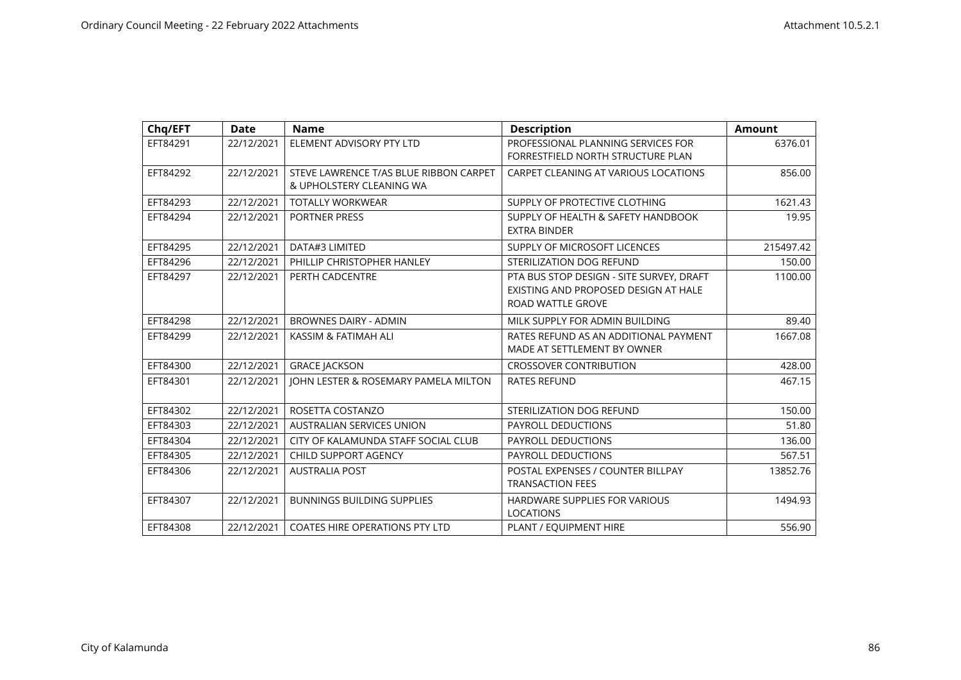| Chq/EFT  | <b>Date</b> | <b>Name</b>                            | <b>Description</b>                       | <b>Amount</b> |
|----------|-------------|----------------------------------------|------------------------------------------|---------------|
| EFT84291 | 22/12/2021  | ELEMENT ADVISORY PTY LTD               | PROFESSIONAL PLANNING SERVICES FOR       | 6376.01       |
|          |             |                                        | FORRESTFIELD NORTH STRUCTURE PLAN        |               |
| EFT84292 | 22/12/2021  | STEVE LAWRENCE T/AS BLUE RIBBON CARPET | CARPET CLEANING AT VARIOUS LOCATIONS     | 856.00        |
|          |             | & UPHOLSTERY CLEANING WA               |                                          |               |
| EFT84293 | 22/12/2021  | <b>TOTALLY WORKWEAR</b>                | SUPPLY OF PROTECTIVE CLOTHING            | 1621.43       |
| EFT84294 | 22/12/2021  | <b>PORTNER PRESS</b>                   | SUPPLY OF HEALTH & SAFETY HANDBOOK       | 19.95         |
|          |             |                                        | <b>EXTRA BINDER</b>                      |               |
| EFT84295 | 22/12/2021  | DATA#3 LIMITED                         | SUPPLY OF MICROSOFT LICENCES             | 215497.42     |
| EFT84296 | 22/12/2021  | PHILLIP CHRISTOPHER HANLEY             | <b>STERILIZATION DOG REFUND</b>          | 150.00        |
| EFT84297 | 22/12/2021  | PERTH CADCENTRE                        | PTA BUS STOP DESIGN - SITE SURVEY, DRAFT | 1100.00       |
|          |             |                                        | EXISTING AND PROPOSED DESIGN AT HALE     |               |
|          |             |                                        | ROAD WATTLE GROVE                        |               |
| EFT84298 | 22/12/2021  | <b>BROWNES DAIRY - ADMIN</b>           | MILK SUPPLY FOR ADMIN BUILDING           | 89.40         |
| EFT84299 | 22/12/2021  | KASSIM & FATIMAH ALI                   | RATES REFUND AS AN ADDITIONAL PAYMENT    | 1667.08       |
|          |             |                                        | MADE AT SETTLEMENT BY OWNER              |               |
| EFT84300 | 22/12/2021  | <b>GRACE JACKSON</b>                   | <b>CROSSOVER CONTRIBUTION</b>            | 428.00        |
| EFT84301 | 22/12/2021  | JOHN LESTER & ROSEMARY PAMELA MILTON   | <b>RATES REFUND</b>                      | 467.15        |
|          |             |                                        |                                          |               |
| EFT84302 | 22/12/2021  | ROSETTA COSTANZO                       | STERILIZATION DOG REFUND                 | 150.00        |
| EFT84303 | 22/12/2021  | <b>AUSTRALIAN SERVICES UNION</b>       | <b>PAYROLL DEDUCTIONS</b>                | 51.80         |
| EFT84304 | 22/12/2021  | CITY OF KALAMUNDA STAFF SOCIAL CLUB    | PAYROLL DEDUCTIONS                       | 136.00        |
| EFT84305 | 22/12/2021  | CHILD SUPPORT AGENCY                   | PAYROLL DEDUCTIONS                       | 567.51        |
| EFT84306 | 22/12/2021  | <b>AUSTRALIA POST</b>                  | POSTAL EXPENSES / COUNTER BILLPAY        | 13852.76      |
|          |             |                                        | <b>TRANSACTION FEES</b>                  |               |
| EFT84307 | 22/12/2021  | <b>BUNNINGS BUILDING SUPPLIES</b>      | HARDWARE SUPPLIES FOR VARIOUS            | 1494.93       |
|          |             |                                        | LOCATIONS                                |               |
| EFT84308 | 22/12/2021  | <b>COATES HIRE OPERATIONS PTY LTD</b>  | PLANT / EQUIPMENT HIRE                   | 556.90        |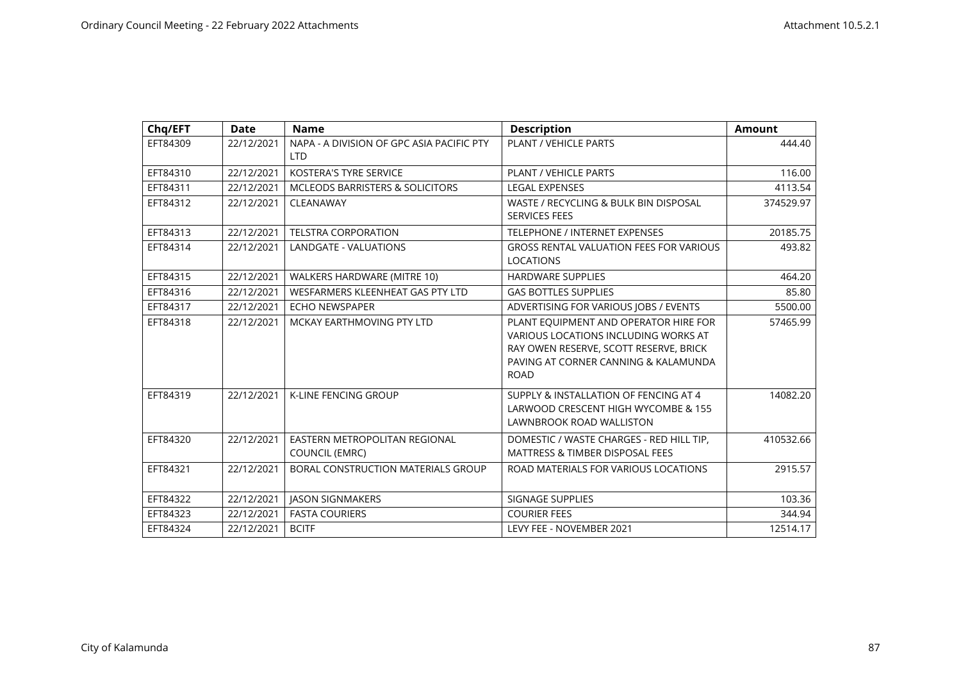| Chq/EFT  | <b>Date</b> | <b>Name</b>                                             | <b>Description</b>                                                                                                                                                             | <b>Amount</b> |
|----------|-------------|---------------------------------------------------------|--------------------------------------------------------------------------------------------------------------------------------------------------------------------------------|---------------|
| EFT84309 | 22/12/2021  | NAPA - A DIVISION OF GPC ASIA PACIFIC PTY<br><b>LTD</b> | PLANT / VEHICLE PARTS                                                                                                                                                          | 444.40        |
| EFT84310 | 22/12/2021  | <b>KOSTERA'S TYRE SERVICE</b>                           | <b>PLANT / VEHICLE PARTS</b>                                                                                                                                                   | 116.00        |
| EFT84311 | 22/12/2021  | <b>MCLEODS BARRISTERS &amp; SOLICITORS</b>              | <b>LEGAL EXPENSES</b>                                                                                                                                                          | 4113.54       |
| EFT84312 | 22/12/2021  | CLEANAWAY                                               | WASTE / RECYCLING & BULK BIN DISPOSAL<br><b>SERVICES FEES</b>                                                                                                                  | 374529.97     |
| EFT84313 | 22/12/2021  | <b>TELSTRA CORPORATION</b>                              | TELEPHONE / INTERNET EXPENSES                                                                                                                                                  | 20185.75      |
| EFT84314 | 22/12/2021  | <b>LANDGATE - VALUATIONS</b>                            | <b>GROSS RENTAL VALUATION FEES FOR VARIOUS</b><br><b>LOCATIONS</b>                                                                                                             | 493.82        |
| EFT84315 | 22/12/2021  | WALKERS HARDWARE (MITRE 10)                             | <b>HARDWARE SUPPLIES</b>                                                                                                                                                       | 464.20        |
| EFT84316 | 22/12/2021  | WESFARMERS KLEENHEAT GAS PTY LTD                        | <b>GAS BOTTLES SUPPLIES</b>                                                                                                                                                    | 85.80         |
| EFT84317 | 22/12/2021  | <b>ECHO NEWSPAPER</b>                                   | ADVERTISING FOR VARIOUS JOBS / EVENTS                                                                                                                                          | 5500.00       |
| EFT84318 | 22/12/2021  | MCKAY EARTHMOVING PTY LTD                               | PLANT EQUIPMENT AND OPERATOR HIRE FOR<br>VARIOUS LOCATIONS INCLUDING WORKS AT<br>RAY OWEN RESERVE, SCOTT RESERVE, BRICK<br>PAVING AT CORNER CANNING & KALAMUNDA<br><b>ROAD</b> | 57465.99      |
| EFT84319 | 22/12/2021  | <b>K-LINE FENCING GROUP</b>                             | SUPPLY & INSTALLATION OF FENCING AT 4<br>LARWOOD CRESCENT HIGH WYCOMBE & 155<br><b>LAWNBROOK ROAD WALLISTON</b>                                                                | 14082.20      |
| EFT84320 | 22/12/2021  | EASTERN METROPOLITAN REGIONAL<br><b>COUNCIL (EMRC)</b>  | DOMESTIC / WASTE CHARGES - RED HILL TIP,<br><b>MATTRESS &amp; TIMBER DISPOSAL FEES</b>                                                                                         | 410532.66     |
| EFT84321 | 22/12/2021  | BORAL CONSTRUCTION MATERIALS GROUP                      | ROAD MATERIALS FOR VARIOUS LOCATIONS                                                                                                                                           | 2915.57       |
| EFT84322 | 22/12/2021  | <b>JASON SIGNMAKERS</b>                                 | SIGNAGE SUPPLIES                                                                                                                                                               | 103.36        |
| EFT84323 | 22/12/2021  | <b>FASTA COURIERS</b>                                   | <b>COURIER FEES</b>                                                                                                                                                            | 344.94        |
| EFT84324 | 22/12/2021  | <b>BCITF</b>                                            | LEVY FEE - NOVEMBER 2021                                                                                                                                                       | 12514.17      |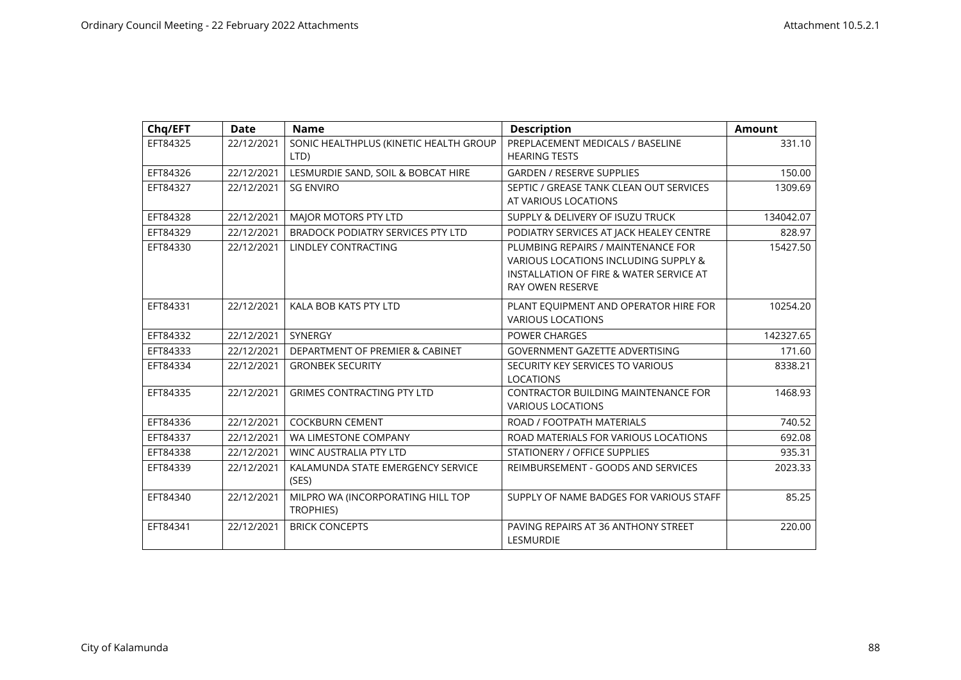| Chq/EFT  | <b>Date</b> | <b>Name</b>                                           | <b>Description</b>                                                                                                                               | <b>Amount</b> |
|----------|-------------|-------------------------------------------------------|--------------------------------------------------------------------------------------------------------------------------------------------------|---------------|
| EFT84325 | 22/12/2021  | SONIC HEALTHPLUS (KINETIC HEALTH GROUP<br>LTD)        | PREPLACEMENT MEDICALS / BASELINE<br><b>HEARING TESTS</b>                                                                                         | 331.10        |
| EFT84326 | 22/12/2021  | LESMURDIE SAND, SOIL & BOBCAT HIRE                    | <b>GARDEN / RESERVE SUPPLIES</b>                                                                                                                 | 150.00        |
| EFT84327 | 22/12/2021  | <b>SG ENVIRO</b>                                      | SEPTIC / GREASE TANK CLEAN OUT SERVICES<br>AT VARIOUS LOCATIONS                                                                                  | 1309.69       |
| EFT84328 | 22/12/2021  | MAJOR MOTORS PTY LTD                                  | SUPPLY & DELIVERY OF ISUZU TRUCK                                                                                                                 | 134042.07     |
| EFT84329 | 22/12/2021  | <b>BRADOCK PODIATRY SERVICES PTY LTD</b>              | PODIATRY SERVICES AT JACK HEALEY CENTRE                                                                                                          | 828.97        |
| EFT84330 | 22/12/2021  | LINDLEY CONTRACTING                                   | PLUMBING REPAIRS / MAINTENANCE FOR<br>VARIOUS LOCATIONS INCLUDING SUPPLY &<br>INSTALLATION OF FIRE & WATER SERVICE AT<br><b>RAY OWEN RESERVE</b> | 15427.50      |
| EFT84331 | 22/12/2021  | KALA BOB KATS PTY LTD                                 | PLANT EQUIPMENT AND OPERATOR HIRE FOR<br><b>VARIOUS LOCATIONS</b>                                                                                | 10254.20      |
| EFT84332 | 22/12/2021  | <b>SYNERGY</b>                                        | <b>POWER CHARGES</b>                                                                                                                             | 142327.65     |
| EFT84333 | 22/12/2021  | DEPARTMENT OF PREMIER & CABINET                       | <b>GOVERNMENT GAZETTE ADVERTISING</b>                                                                                                            | 171.60        |
| EFT84334 | 22/12/2021  | <b>GRONBEK SECURITY</b>                               | SECURITY KEY SERVICES TO VARIOUS<br><b>LOCATIONS</b>                                                                                             | 8338.21       |
| EFT84335 | 22/12/2021  | <b>GRIMES CONTRACTING PTY LTD</b>                     | <b>CONTRACTOR BUILDING MAINTENANCE FOR</b><br><b>VARIOUS LOCATIONS</b>                                                                           | 1468.93       |
| EFT84336 | 22/12/2021  | <b>COCKBURN CEMENT</b>                                | ROAD / FOOTPATH MATERIALS                                                                                                                        | 740.52        |
| EFT84337 | 22/12/2021  | WA LIMESTONE COMPANY                                  | ROAD MATERIALS FOR VARIOUS LOCATIONS                                                                                                             | 692.08        |
| EFT84338 | 22/12/2021  | <b>WINC AUSTRALIA PTY LTD</b>                         | STATIONERY / OFFICE SUPPLIES                                                                                                                     | 935.31        |
| EFT84339 | 22/12/2021  | KALAMUNDA STATE EMERGENCY SERVICE<br>(SES)            | REIMBURSEMENT - GOODS AND SERVICES                                                                                                               | 2023.33       |
| EFT84340 | 22/12/2021  | MILPRO WA (INCORPORATING HILL TOP<br><b>TROPHIES)</b> | SUPPLY OF NAME BADGES FOR VARIOUS STAFF                                                                                                          | 85.25         |
| EFT84341 | 22/12/2021  | <b>BRICK CONCEPTS</b>                                 | PAVING REPAIRS AT 36 ANTHONY STREET<br><b>LESMURDIE</b>                                                                                          | 220.00        |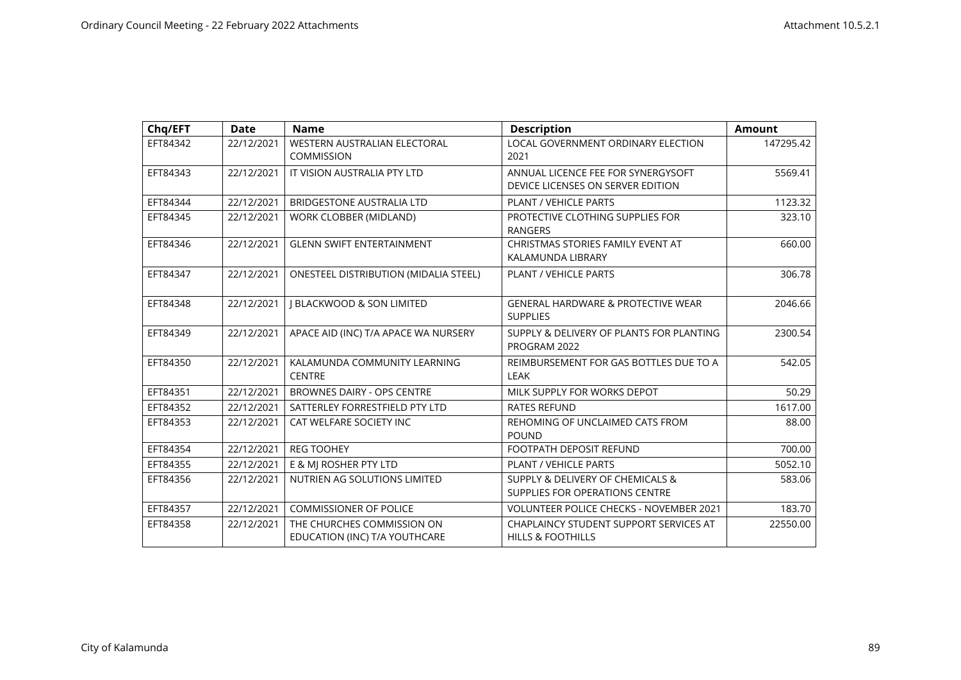| Chq/EFT  | <b>Date</b> | <b>Name</b>                                   | <b>Description</b>                                 | <b>Amount</b> |
|----------|-------------|-----------------------------------------------|----------------------------------------------------|---------------|
| EFT84342 | 22/12/2021  | WESTERN AUSTRALIAN ELECTORAL                  | LOCAL GOVERNMENT ORDINARY ELECTION                 | 147295.42     |
|          |             | <b>COMMISSION</b>                             | 2021                                               |               |
| EFT84343 | 22/12/2021  | IT VISION AUSTRALIA PTY LTD                   | ANNUAL LICENCE FEE FOR SYNERGYSOFT                 | 5569.41       |
|          |             |                                               | DEVICE LICENSES ON SERVER EDITION                  |               |
| EFT84344 | 22/12/2021  | BRIDGESTONE AUSTRALIA LTD                     | <b>PLANT / VEHICLE PARTS</b>                       | 1123.32       |
| EFT84345 | 22/12/2021  | WORK CLOBBER (MIDLAND)                        | PROTECTIVE CLOTHING SUPPLIES FOR<br><b>RANGERS</b> | 323.10        |
| EFT84346 | 22/12/2021  | <b>GLENN SWIFT ENTERTAINMENT</b>              | CHRISTMAS STORIES FAMILY EVENT AT                  | 660.00        |
|          |             |                                               | KALAMUNDA LIBRARY                                  |               |
| EFT84347 | 22/12/2021  | <b>ONESTEEL DISTRIBUTION (MIDALIA STEEL)</b>  | <b>PLANT / VEHICLE PARTS</b>                       | 306.78        |
|          | 22/12/2021  |                                               | <b>GENERAL HARDWARE &amp; PROTECTIVE WEAR</b>      | 2046.66       |
| EFT84348 |             | <b>J BLACKWOOD &amp; SON LIMITED</b>          | <b>SUPPLIES</b>                                    |               |
| EFT84349 | 22/12/2021  | APACE AID (INC) T/A APACE WA NURSERY          | SUPPLY & DELIVERY OF PLANTS FOR PLANTING           | 2300.54       |
|          |             |                                               | PROGRAM 2022                                       |               |
| EFT84350 | 22/12/2021  | KALAMUNDA COMMUNITY LEARNING<br><b>CENTRE</b> | REIMBURSEMENT FOR GAS BOTTLES DUE TO A<br>LEAK     | 542.05        |
| EFT84351 | 22/12/2021  | <b>BROWNES DAIRY - OPS CENTRE</b>             | MILK SUPPLY FOR WORKS DEPOT                        | 50.29         |
| EFT84352 | 22/12/2021  | SATTERLEY FORRESTFIELD PTY LTD                | <b>RATES REFUND</b>                                | 1617.00       |
| EFT84353 | 22/12/2021  | CAT WELFARE SOCIETY INC                       | REHOMING OF UNCLAIMED CATS FROM<br><b>POUND</b>    | 88.00         |
| EFT84354 | 22/12/2021  | <b>REG TOOHEY</b>                             | <b>FOOTPATH DEPOSIT REFUND</b>                     | 700.00        |
| EFT84355 | 22/12/2021  | E & MJ ROSHER PTY LTD                         | PLANT / VEHICLE PARTS                              | 5052.10       |
| EFT84356 | 22/12/2021  | NUTRIEN AG SOLUTIONS LIMITED                  | SUPPLY & DELIVERY OF CHEMICALS &                   | 583.06        |
|          |             |                                               | SUPPLIES FOR OPERATIONS CENTRE                     |               |
| EFT84357 | 22/12/2021  | <b>COMMISSIONER OF POLICE</b>                 | <b>VOLUNTEER POLICE CHECKS - NOVEMBER 2021</b>     | 183.70        |
| EFT84358 | 22/12/2021  | THE CHURCHES COMMISSION ON                    | CHAPLAINCY STUDENT SUPPORT SERVICES AT             | 22550.00      |
|          |             | EDUCATION (INC) T/A YOUTHCARE                 | <b>HILLS &amp; FOOTHILLS</b>                       |               |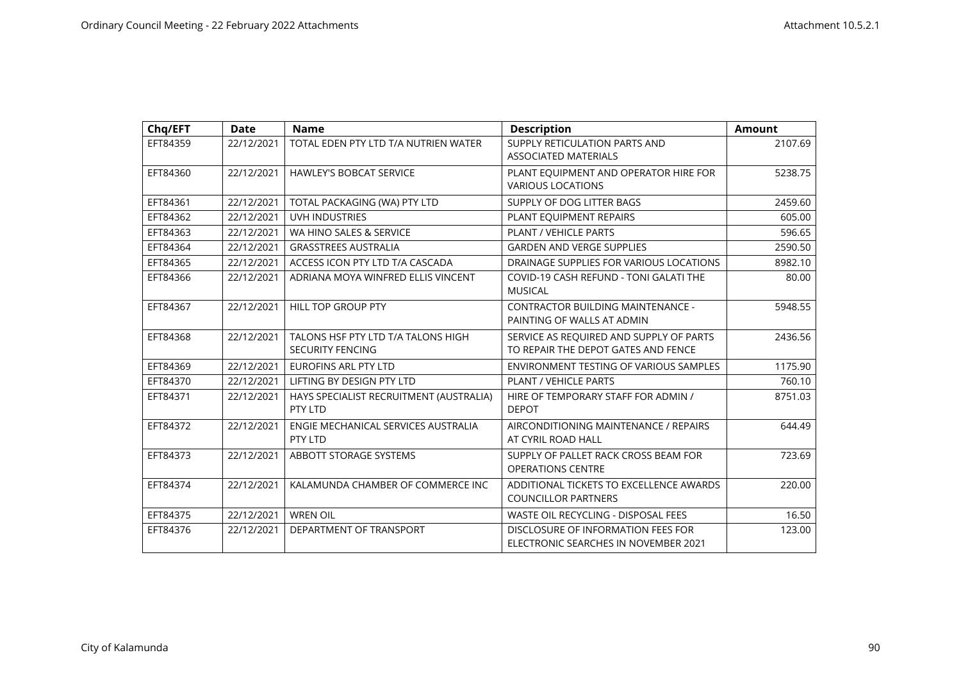| Chq/EFT  | <b>Date</b> | <b>Name</b>                                                   | <b>Description</b>                                                             | <b>Amount</b> |
|----------|-------------|---------------------------------------------------------------|--------------------------------------------------------------------------------|---------------|
| EFT84359 | 22/12/2021  | TOTAL EDEN PTY LTD T/A NUTRIEN WATER                          | SUPPLY RETICULATION PARTS AND<br><b>ASSOCIATED MATERIALS</b>                   | 2107.69       |
| EFT84360 | 22/12/2021  | <b>HAWLEY'S BOBCAT SERVICE</b>                                | PLANT EQUIPMENT AND OPERATOR HIRE FOR<br><b>VARIOUS LOCATIONS</b>              | 5238.75       |
| EFT84361 | 22/12/2021  | TOTAL PACKAGING (WA) PTY LTD                                  | SUPPLY OF DOG LITTER BAGS                                                      | 2459.60       |
| EFT84362 | 22/12/2021  | <b>UVH INDUSTRIES</b>                                         | PLANT EQUIPMENT REPAIRS                                                        | 605.00        |
| EFT84363 | 22/12/2021  | WA HINO SALES & SERVICE                                       | PLANT / VEHICLE PARTS                                                          | 596.65        |
| EFT84364 | 22/12/2021  | <b>GRASSTREES AUSTRALIA</b>                                   | <b>GARDEN AND VERGE SUPPLIES</b>                                               | 2590.50       |
| EFT84365 | 22/12/2021  | ACCESS ICON PTY LTD T/A CASCADA                               | DRAINAGE SUPPLIES FOR VARIOUS LOCATIONS                                        | 8982.10       |
| EFT84366 | 22/12/2021  | ADRIANA MOYA WINFRED ELLIS VINCENT                            | COVID-19 CASH REFUND - TONI GALATI THE<br><b>MUSICAL</b>                       | 80.00         |
| EFT84367 | 22/12/2021  | <b>HILL TOP GROUP PTY</b>                                     | <b>CONTRACTOR BUILDING MAINTENANCE -</b><br>PAINTING OF WALLS AT ADMIN         | 5948.55       |
| EFT84368 | 22/12/2021  | TALONS HSF PTY LTD T/A TALONS HIGH<br><b>SECURITY FENCING</b> | SERVICE AS REQUIRED AND SUPPLY OF PARTS<br>TO REPAIR THE DEPOT GATES AND FENCE | 2436.56       |
| EFT84369 | 22/12/2021  | <b>EUROFINS ARL PTY LTD</b>                                   | ENVIRONMENT TESTING OF VARIOUS SAMPLES                                         | 1175.90       |
| EFT84370 | 22/12/2021  | LIFTING BY DESIGN PTY LTD                                     | <b>PLANT / VEHICLE PARTS</b>                                                   | 760.10        |
| EFT84371 | 22/12/2021  | HAYS SPECIALIST RECRUITMENT (AUSTRALIA)<br>PTY LTD            | HIRE OF TEMPORARY STAFF FOR ADMIN /<br><b>DEPOT</b>                            | 8751.03       |
| EFT84372 | 22/12/2021  | ENGIE MECHANICAL SERVICES AUSTRALIA<br>PTY LTD                | AIRCONDITIONING MAINTENANCE / REPAIRS<br>AT CYRIL ROAD HALL                    | 644.49        |
| EFT84373 | 22/12/2021  | ABBOTT STORAGE SYSTEMS                                        | SUPPLY OF PALLET RACK CROSS BEAM FOR<br><b>OPERATIONS CENTRE</b>               | 723.69        |
| EFT84374 | 22/12/2021  | KALAMUNDA CHAMBER OF COMMERCE INC                             | ADDITIONAL TICKETS TO EXCELLENCE AWARDS<br><b>COUNCILLOR PARTNERS</b>          | 220.00        |
| EFT84375 | 22/12/2021  | <b>WREN OIL</b>                                               | WASTE OIL RECYCLING - DISPOSAL FEES                                            | 16.50         |
| EFT84376 | 22/12/2021  | DEPARTMENT OF TRANSPORT                                       | DISCLOSURE OF INFORMATION FEES FOR<br>ELECTRONIC SEARCHES IN NOVEMBER 2021     | 123.00        |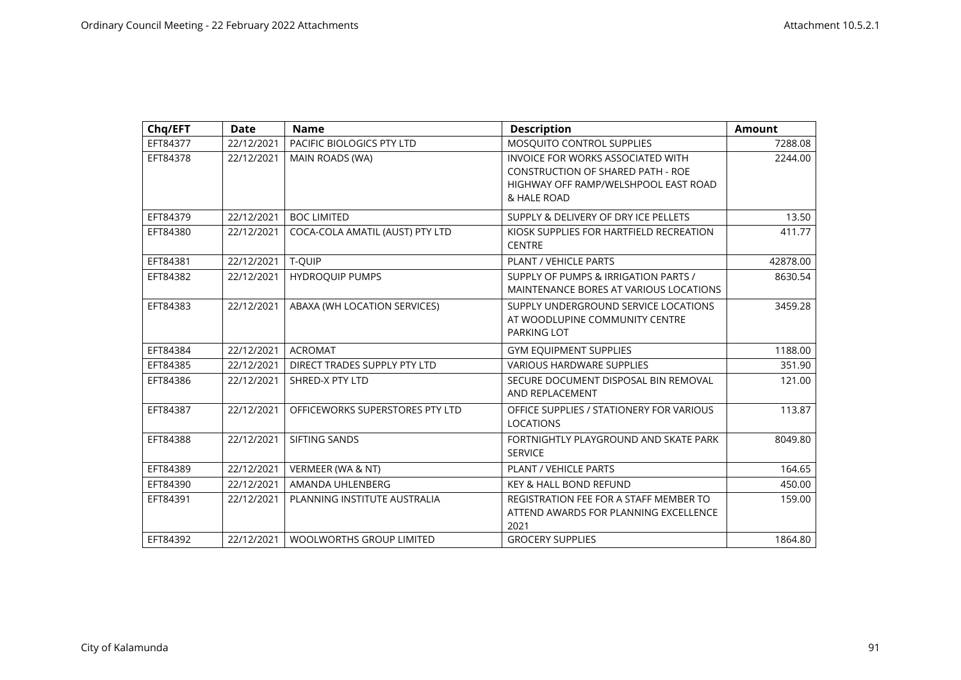| Chq/EFT  | <b>Date</b> | <b>Name</b>                     | <b>Description</b>                                                                                                                          | <b>Amount</b> |
|----------|-------------|---------------------------------|---------------------------------------------------------------------------------------------------------------------------------------------|---------------|
| EFT84377 | 22/12/2021  | PACIFIC BIOLOGICS PTY LTD       | MOSQUITO CONTROL SUPPLIES                                                                                                                   | 7288.08       |
| EFT84378 | 22/12/2021  | MAIN ROADS (WA)                 | <b>INVOICE FOR WORKS ASSOCIATED WITH</b><br><b>CONSTRUCTION OF SHARED PATH - ROE</b><br>HIGHWAY OFF RAMP/WELSHPOOL EAST ROAD<br>& HALE ROAD | 2244.00       |
| EFT84379 | 22/12/2021  | <b>BOC LIMITED</b>              | SUPPLY & DELIVERY OF DRY ICE PELLETS                                                                                                        | 13.50         |
| EFT84380 | 22/12/2021  | COCA-COLA AMATIL (AUST) PTY LTD | KIOSK SUPPLIES FOR HARTFIELD RECREATION<br><b>CENTRE</b>                                                                                    | 411.77        |
| EFT84381 | 22/12/2021  | T-QUIP                          | <b>PLANT / VEHICLE PARTS</b>                                                                                                                | 42878.00      |
| EFT84382 | 22/12/2021  | <b>HYDROQUIP PUMPS</b>          | SUPPLY OF PUMPS & IRRIGATION PARTS /<br>MAINTENANCE BORES AT VARIOUS LOCATIONS                                                              | 8630.54       |
| EFT84383 | 22/12/2021  | ABAXA (WH LOCATION SERVICES)    | SUPPLY UNDERGROUND SERVICE LOCATIONS<br>AT WOODLUPINE COMMUNITY CENTRE<br>PARKING LOT                                                       | 3459.28       |
| EFT84384 | 22/12/2021  | <b>ACROMAT</b>                  | <b>GYM EQUIPMENT SUPPLIES</b>                                                                                                               | 1188.00       |
| EFT84385 | 22/12/2021  | DIRECT TRADES SUPPLY PTY LTD    | <b>VARIOUS HARDWARE SUPPLIES</b>                                                                                                            | 351.90        |
| EFT84386 | 22/12/2021  | SHRED-X PTY LTD                 | SECURE DOCUMENT DISPOSAL BIN REMOVAL<br>AND REPLACEMENT                                                                                     | 121.00        |
| EFT84387 | 22/12/2021  | OFFICEWORKS SUPERSTORES PTY LTD | OFFICE SUPPLIES / STATIONERY FOR VARIOUS<br><b>LOCATIONS</b>                                                                                | 113.87        |
| EFT84388 | 22/12/2021  | SIFTING SANDS                   | FORTNIGHTLY PLAYGROUND AND SKATE PARK<br><b>SERVICE</b>                                                                                     | 8049.80       |
| EFT84389 | 22/12/2021  | VERMEER (WA & NT)               | PLANT / VEHICLE PARTS                                                                                                                       | 164.65        |
| EFT84390 | 22/12/2021  | AMANDA UHLENBERG                | <b>KEY &amp; HALL BOND REFUND</b>                                                                                                           | 450.00        |
| EFT84391 | 22/12/2021  | PLANNING INSTITUTE AUSTRALIA    | REGISTRATION FEE FOR A STAFF MEMBER TO<br>ATTEND AWARDS FOR PLANNING EXCELLENCE<br>2021                                                     | 159.00        |
| EFT84392 | 22/12/2021  | <b>WOOLWORTHS GROUP LIMITED</b> | <b>GROCERY SUPPLIES</b>                                                                                                                     | 1864.80       |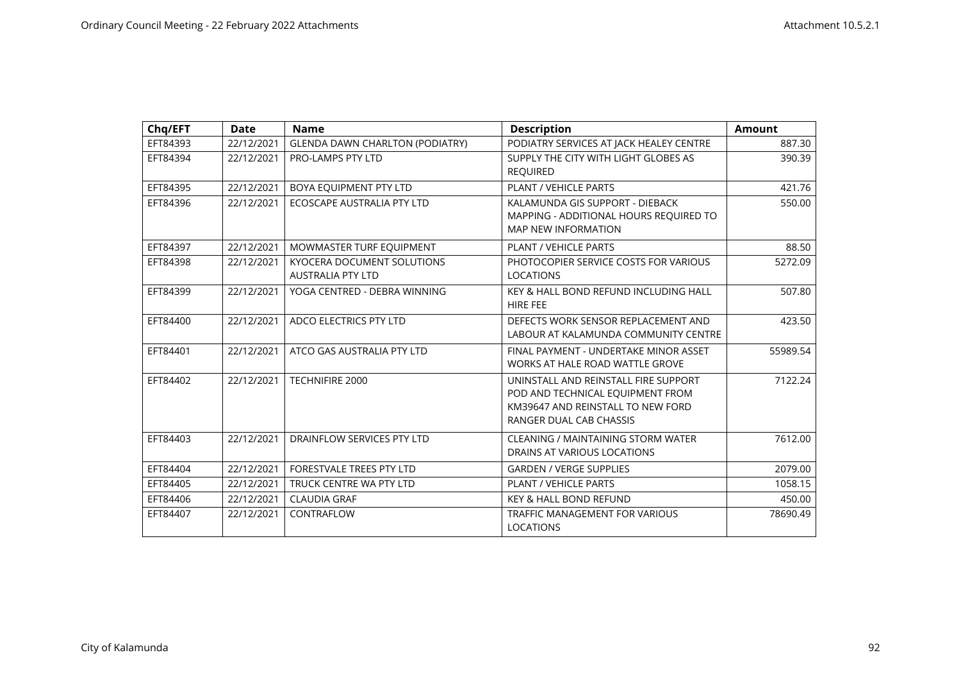| Chq/EFT  | <b>Date</b> | <b>Name</b>                                            | <b>Description</b>                                                                                                                       | <b>Amount</b> |
|----------|-------------|--------------------------------------------------------|------------------------------------------------------------------------------------------------------------------------------------------|---------------|
| EFT84393 | 22/12/2021  | <b>GLENDA DAWN CHARLTON (PODIATRY)</b>                 | PODIATRY SERVICES AT JACK HEALEY CENTRE                                                                                                  | 887.30        |
| EFT84394 | 22/12/2021  | PRO-LAMPS PTY LTD                                      | SUPPLY THE CITY WITH LIGHT GLOBES AS<br><b>REQUIRED</b>                                                                                  | 390.39        |
| EFT84395 | 22/12/2021  | BOYA EQUIPMENT PTY LTD                                 | PLANT / VEHICLE PARTS                                                                                                                    | 421.76        |
| EFT84396 | 22/12/2021  | ECOSCAPE AUSTRALIA PTY LTD                             | KALAMUNDA GIS SUPPORT - DIEBACK<br>MAPPING - ADDITIONAL HOURS REQUIRED TO<br><b>MAP NEW INFORMATION</b>                                  | 550.00        |
| EFT84397 | 22/12/2021  | MOWMASTER TURF EQUIPMENT                               | PLANT / VEHICLE PARTS                                                                                                                    | 88.50         |
| EFT84398 | 22/12/2021  | KYOCERA DOCUMENT SOLUTIONS<br><b>AUSTRALIA PTY LTD</b> | PHOTOCOPIER SERVICE COSTS FOR VARIOUS<br><b>LOCATIONS</b>                                                                                | 5272.09       |
| EFT84399 | 22/12/2021  | YOGA CENTRED - DEBRA WINNING                           | KEY & HALL BOND REFUND INCLUDING HALL<br><b>HIRE FEE</b>                                                                                 | 507.80        |
| EFT84400 | 22/12/2021  | ADCO ELECTRICS PTY LTD                                 | DEFECTS WORK SENSOR REPLACEMENT AND<br>LABOUR AT KALAMUNDA COMMUNITY CENTRE                                                              | 423.50        |
| EFT84401 | 22/12/2021  | ATCO GAS AUSTRALIA PTY LTD                             | FINAL PAYMENT - UNDERTAKE MINOR ASSET<br>WORKS AT HALE ROAD WATTLE GROVE                                                                 | 55989.54      |
| EFT84402 | 22/12/2021  | TECHNIFIRE 2000                                        | UNINSTALL AND REINSTALL FIRE SUPPORT<br>POD AND TECHNICAL EQUIPMENT FROM<br>KM39647 AND REINSTALL TO NEW FORD<br>RANGER DUAL CAB CHASSIS | 7122.24       |
| EFT84403 | 22/12/2021  | DRAINFLOW SERVICES PTY LTD                             | CLEANING / MAINTAINING STORM WATER<br>DRAINS AT VARIOUS LOCATIONS                                                                        | 7612.00       |
| EFT84404 | 22/12/2021  | FORESTVALE TREES PTY LTD                               | <b>GARDEN / VERGE SUPPLIES</b>                                                                                                           | 2079.00       |
| EFT84405 | 22/12/2021  | TRUCK CENTRE WA PTY LTD                                | PLANT / VEHICLE PARTS                                                                                                                    | 1058.15       |
| EFT84406 | 22/12/2021  | <b>CLAUDIA GRAF</b>                                    | <b>KEY &amp; HALL BOND REFUND</b>                                                                                                        | 450.00        |
| EFT84407 | 22/12/2021  | CONTRAFLOW                                             | <b>TRAFFIC MANAGEMENT FOR VARIOUS</b><br><b>LOCATIONS</b>                                                                                | 78690.49      |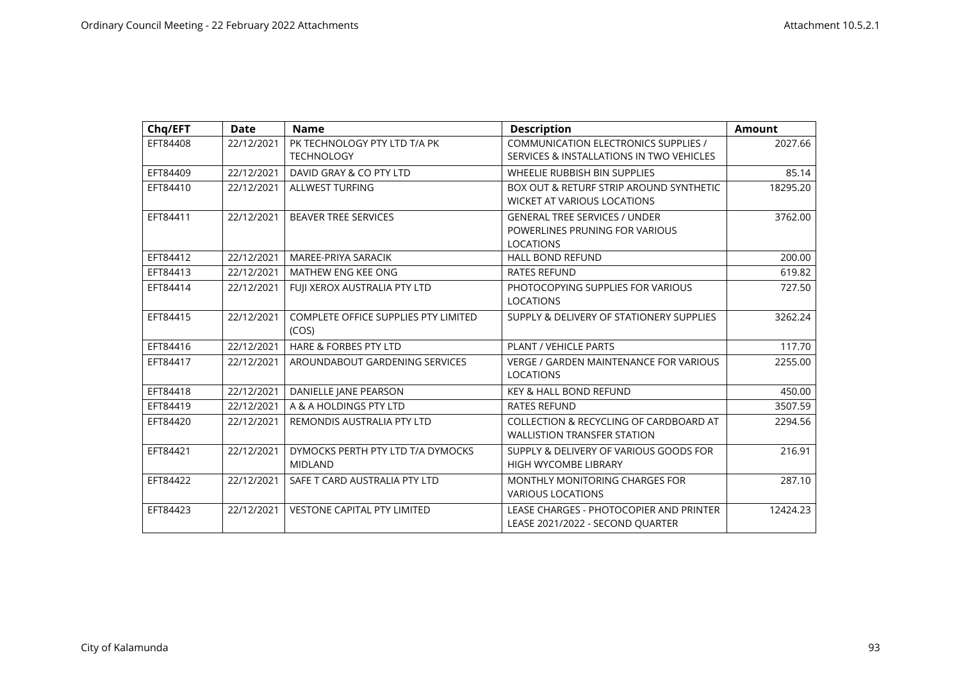| Chq/EFT  | <b>Date</b> | <b>Name</b>                                 | <b>Description</b>                            | <b>Amount</b> |
|----------|-------------|---------------------------------------------|-----------------------------------------------|---------------|
| EFT84408 | 22/12/2021  | PK TECHNOLOGY PTY LTD T/A PK                | COMMUNICATION ELECTRONICS SUPPLIES /          | 2027.66       |
|          |             | <b>TECHNOLOGY</b>                           | SERVICES & INSTALLATIONS IN TWO VEHICLES      |               |
| EFT84409 | 22/12/2021  | DAVID GRAY & CO PTY LTD                     | WHEELIE RUBBISH BIN SUPPLIES                  | 85.14         |
| EFT84410 | 22/12/2021  | <b>ALLWEST TURFING</b>                      | BOX OUT & RETURF STRIP AROUND SYNTHETIC       | 18295.20      |
|          |             |                                             | <b>WICKET AT VARIOUS LOCATIONS</b>            |               |
| EFT84411 | 22/12/2021  | <b>BEAVER TREE SERVICES</b>                 | <b>GENERAL TREE SERVICES / UNDER</b>          | 3762.00       |
|          |             |                                             | POWERLINES PRUNING FOR VARIOUS                |               |
|          |             |                                             | <b>LOCATIONS</b>                              |               |
| EFT84412 | 22/12/2021  | MAREE-PRIYA SARACIK                         | <b>HALL BOND REFUND</b>                       | 200.00        |
| EFT84413 | 22/12/2021  | MATHEW ENG KEE ONG                          | <b>RATES REFUND</b>                           | 619.82        |
| EFT84414 | 22/12/2021  | FUJI XEROX AUSTRALIA PTY LTD                | PHOTOCOPYING SUPPLIES FOR VARIOUS             | 727.50        |
|          |             |                                             | <b>LOCATIONS</b>                              |               |
| EFT84415 | 22/12/2021  | <b>COMPLETE OFFICE SUPPLIES PTY LIMITED</b> | SUPPLY & DELIVERY OF STATIONERY SUPPLIES      | 3262.24       |
|          |             | (COS)                                       |                                               |               |
| EFT84416 | 22/12/2021  | <b>HARE &amp; FORBES PTY LTD</b>            | PLANT / VEHICLE PARTS                         | 117.70        |
| EFT84417 | 22/12/2021  | AROUNDABOUT GARDENING SERVICES              | <b>VERGE / GARDEN MAINTENANCE FOR VARIOUS</b> | 2255.00       |
|          |             |                                             | <b>LOCATIONS</b>                              |               |
| EFT84418 | 22/12/2021  | DANIELLE JANE PEARSON                       | <b>KEY &amp; HALL BOND REFUND</b>             | 450.00        |
| EFT84419 | 22/12/2021  | A & A HOLDINGS PTY LTD                      | <b>RATES REFUND</b>                           | 3507.59       |
| EFT84420 | 22/12/2021  | REMONDIS AUSTRALIA PTY LTD                  | COLLECTION & RECYCLING OF CARDBOARD AT        | 2294.56       |
|          |             |                                             | <b>WALLISTION TRANSFER STATION</b>            |               |
| EFT84421 | 22/12/2021  | DYMOCKS PERTH PTY LTD T/A DYMOCKS           | SUPPLY & DELIVERY OF VARIOUS GOODS FOR        | 216.91        |
|          |             | <b>MIDLAND</b>                              | HIGH WYCOMBE LIBRARY                          |               |
| EFT84422 | 22/12/2021  | SAFE T CARD AUSTRALIA PTY LTD               | <b>MONTHLY MONITORING CHARGES FOR</b>         | 287.10        |
|          |             |                                             | <b>VARIOUS LOCATIONS</b>                      |               |
| EFT84423 | 22/12/2021  | <b>VESTONE CAPITAL PTY LIMITED</b>          | LEASE CHARGES - PHOTOCOPIER AND PRINTER       | 12424.23      |
|          |             |                                             | LEASE 2021/2022 - SECOND QUARTER              |               |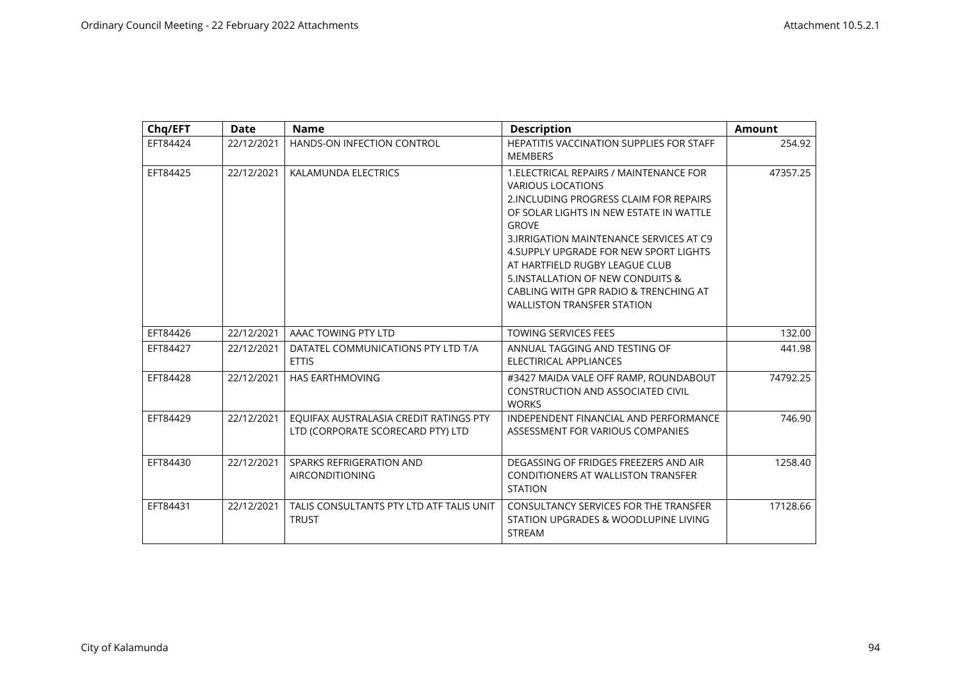| Chq/EFT  | <b>Date</b> | <b>Name</b>                                                                 | <b>Description</b>                                                                                                                                                                                                                                                                                                                                                                                                   | <b>Amount</b> |
|----------|-------------|-----------------------------------------------------------------------------|----------------------------------------------------------------------------------------------------------------------------------------------------------------------------------------------------------------------------------------------------------------------------------------------------------------------------------------------------------------------------------------------------------------------|---------------|
| EFT84424 | 22/12/2021  | HANDS-ON INFECTION CONTROL                                                  | HEPATITIS VACCINATION SUPPLIES FOR STAFF<br><b>MEMBERS</b>                                                                                                                                                                                                                                                                                                                                                           | 254.92        |
| EFT84425 | 22/12/2021  | KALAMUNDA ELECTRICS                                                         | 1. ELECTRICAL REPAIRS / MAINTENANCE FOR<br><b>VARIOUS LOCATIONS</b><br>2. INCLUDING PROGRESS CLAIM FOR REPAIRS<br>OF SOLAR LIGHTS IN NEW ESTATE IN WATTLE<br><b>GROVE</b><br>3. IRRIGATION MAINTENANCE SERVICES AT C9<br>4. SUPPLY UPGRADE FOR NEW SPORT LIGHTS<br>AT HARTFIELD RUGBY LEAGUE CLUB<br>5. INSTALLATION OF NEW CONDUITS &<br>CABLING WITH GPR RADIO & TRENCHING AT<br><b>WALLISTON TRANSFER STATION</b> | 47357.25      |
| EFT84426 | 22/12/2021  | AAAC TOWING PTY LTD                                                         | <b>TOWING SERVICES FEES</b>                                                                                                                                                                                                                                                                                                                                                                                          | 132.00        |
| EFT84427 | 22/12/2021  | DATATEL COMMUNICATIONS PTY LTD T/A<br><b>ETTIS</b>                          | ANNUAL TAGGING AND TESTING OF<br>ELECTIRICAL APPLIANCES                                                                                                                                                                                                                                                                                                                                                              | 441.98        |
| EFT84428 | 22/12/2021  | <b>HAS EARTHMOVING</b>                                                      | #3427 MAIDA VALE OFF RAMP, ROUNDABOUT<br><b>CONSTRUCTION AND ASSOCIATED CIVIL</b><br><b>WORKS</b>                                                                                                                                                                                                                                                                                                                    | 74792.25      |
| EFT84429 | 22/12/2021  | EOUIFAX AUSTRALASIA CREDIT RATINGS PTY<br>LTD (CORPORATE SCORECARD PTY) LTD | INDEPENDENT FINANCIAL AND PERFORMANCE<br>ASSESSMENT FOR VARIOUS COMPANIES                                                                                                                                                                                                                                                                                                                                            | 746.90        |
| EFT84430 | 22/12/2021  | SPARKS REFRIGERATION AND<br><b>AIRCONDITIONING</b>                          | DEGASSING OF FRIDGES FREEZERS AND AIR<br><b>CONDITIONERS AT WALLISTON TRANSFER</b><br><b>STATION</b>                                                                                                                                                                                                                                                                                                                 | 1258.40       |
| EFT84431 | 22/12/2021  | TALIS CONSULTANTS PTY LTD ATF TALIS UNIT<br><b>TRUST</b>                    | CONSULTANCY SERVICES FOR THE TRANSFER<br>STATION UPGRADES & WOODLUPINE LIVING<br><b>STREAM</b>                                                                                                                                                                                                                                                                                                                       | 17128.66      |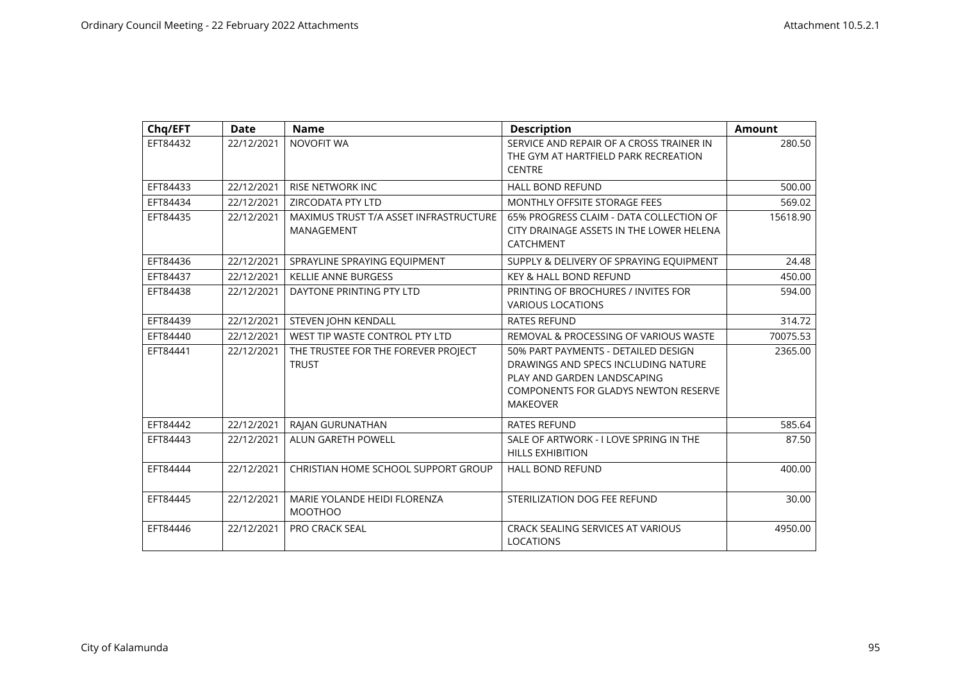| Chq/EFT  | <b>Date</b> | <b>Name</b>                                          | <b>Description</b>                                                                                                                                                          | <b>Amount</b> |
|----------|-------------|------------------------------------------------------|-----------------------------------------------------------------------------------------------------------------------------------------------------------------------------|---------------|
| EFT84432 | 22/12/2021  | <b>NOVOFIT WA</b>                                    | SERVICE AND REPAIR OF A CROSS TRAINER IN<br>THE GYM AT HARTFIELD PARK RECREATION<br><b>CENTRE</b>                                                                           | 280.50        |
| EFT84433 | 22/12/2021  | <b>RISE NETWORK INC</b>                              | <b>HALL BOND REFUND</b>                                                                                                                                                     | 500.00        |
| EFT84434 | 22/12/2021  | ZIRCODATA PTY LTD                                    | <b>MONTHLY OFFSITE STORAGE FEES</b>                                                                                                                                         | 569.02        |
| EFT84435 | 22/12/2021  | MAXIMUS TRUST T/A ASSET INFRASTRUCTURE<br>MANAGEMENT | 65% PROGRESS CLAIM - DATA COLLECTION OF<br>CITY DRAINAGE ASSETS IN THE LOWER HELENA<br><b>CATCHMENT</b>                                                                     | 15618.90      |
| EFT84436 | 22/12/2021  | SPRAYLINE SPRAYING EQUIPMENT                         | SUPPLY & DELIVERY OF SPRAYING EQUIPMENT                                                                                                                                     | 24.48         |
| EFT84437 | 22/12/2021  | <b>KELLIE ANNE BURGESS</b>                           | <b>KEY &amp; HALL BOND REFUND</b>                                                                                                                                           | 450.00        |
| EFT84438 | 22/12/2021  | DAYTONE PRINTING PTY LTD                             | PRINTING OF BROCHURES / INVITES FOR<br><b>VARIOUS LOCATIONS</b>                                                                                                             | 594.00        |
| EFT84439 | 22/12/2021  | STEVEN JOHN KENDALL                                  | <b>RATES REFUND</b>                                                                                                                                                         | 314.72        |
| EFT84440 | 22/12/2021  | WEST TIP WASTE CONTROL PTY LTD                       | REMOVAL & PROCESSING OF VARIOUS WASTE                                                                                                                                       | 70075.53      |
| EFT84441 | 22/12/2021  | THE TRUSTEE FOR THE FOREVER PROJECT<br><b>TRUST</b>  | 50% PART PAYMENTS - DETAILED DESIGN<br>DRAWINGS AND SPECS INCLUDING NATURE<br>PLAY AND GARDEN LANDSCAPING<br><b>COMPONENTS FOR GLADYS NEWTON RESERVE</b><br><b>MAKEOVER</b> | 2365.00       |
| EFT84442 | 22/12/2021  | RAJAN GURUNATHAN                                     | <b>RATES REFUND</b>                                                                                                                                                         | 585.64        |
| EFT84443 | 22/12/2021  | <b>ALUN GARETH POWELL</b>                            | SALE OF ARTWORK - I LOVE SPRING IN THE<br><b>HILLS EXHIBITION</b>                                                                                                           | 87.50         |
| EFT84444 | 22/12/2021  | CHRISTIAN HOME SCHOOL SUPPORT GROUP                  | <b>HALL BOND REFUND</b>                                                                                                                                                     | 400.00        |
| EFT84445 | 22/12/2021  | MARIE YOLANDE HEIDI FLORENZA<br><b>MOOTHOO</b>       | STERILIZATION DOG FEE REFUND                                                                                                                                                | 30.00         |
| EFT84446 | 22/12/2021  | <b>PRO CRACK SEAL</b>                                | <b>CRACK SEALING SERVICES AT VARIOUS</b><br><b>LOCATIONS</b>                                                                                                                | 4950.00       |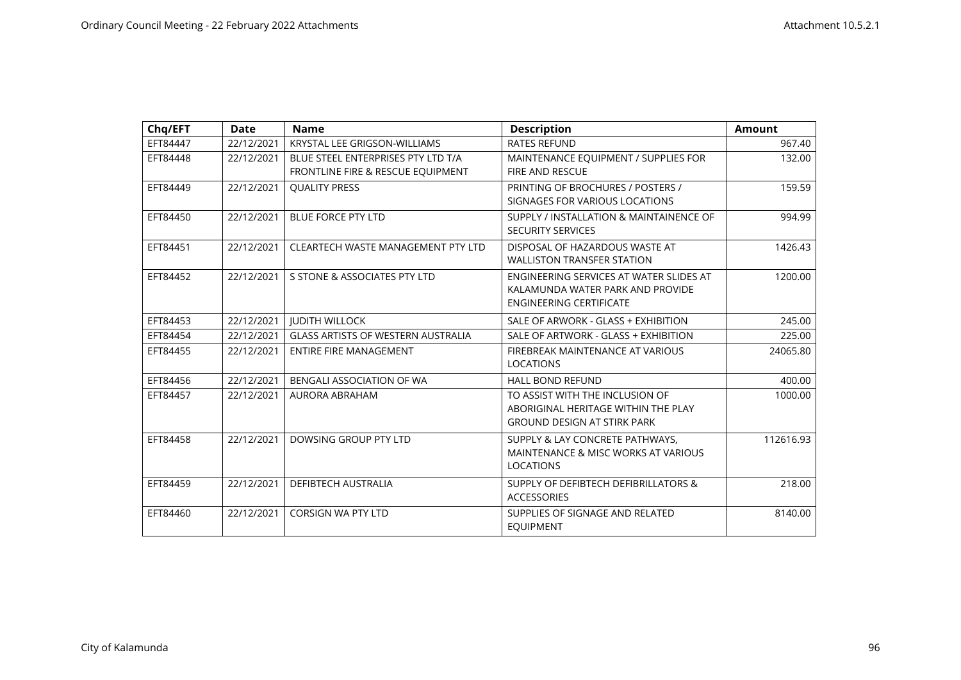| Chq/EFT  | <b>Date</b> | <b>Name</b>                                                             | <b>Description</b>                                                                                            | <b>Amount</b> |
|----------|-------------|-------------------------------------------------------------------------|---------------------------------------------------------------------------------------------------------------|---------------|
| EFT84447 | 22/12/2021  | <b>KRYSTAL LEE GRIGSON-WILLIAMS</b>                                     | <b>RATES REFUND</b>                                                                                           | 967.40        |
| EFT84448 | 22/12/2021  | BLUE STEEL ENTERPRISES PTY LTD T/A<br>FRONTLINE FIRE & RESCUE EQUIPMENT | MAINTENANCE EQUIPMENT / SUPPLIES FOR<br><b>FIRE AND RESCUE</b>                                                | 132.00        |
| EFT84449 | 22/12/2021  | <b>OUALITY PRESS</b>                                                    | PRINTING OF BROCHURES / POSTERS /<br>SIGNAGES FOR VARIOUS LOCATIONS                                           | 159.59        |
| EFT84450 | 22/12/2021  | <b>BLUE FORCE PTY LTD</b>                                               | SUPPLY / INSTALLATION & MAINTAINENCE OF<br><b>SECURITY SERVICES</b>                                           | 994.99        |
| EFT84451 | 22/12/2021  | CLEARTECH WASTE MANAGEMENT PTY LTD                                      | DISPOSAL OF HAZARDOUS WASTE AT<br><b>WALLISTON TRANSFER STATION</b>                                           | 1426.43       |
| EFT84452 | 22/12/2021  | S STONE & ASSOCIATES PTY LTD                                            | ENGINEERING SERVICES AT WATER SLIDES AT<br>KALAMUNDA WATER PARK AND PROVIDE<br><b>ENGINEERING CERTIFICATE</b> | 1200.00       |
| EFT84453 | 22/12/2021  | <b>JUDITH WILLOCK</b>                                                   | SALE OF ARWORK - GLASS + EXHIBITION                                                                           | 245.00        |
| EFT84454 | 22/12/2021  | <b>GLASS ARTISTS OF WESTERN AUSTRALIA</b>                               | SALE OF ARTWORK - GLASS + EXHIBITION                                                                          | 225.00        |
| EFT84455 | 22/12/2021  | <b>ENTIRE FIRE MANAGEMENT</b>                                           | FIREBREAK MAINTENANCE AT VARIOUS<br><b>LOCATIONS</b>                                                          | 24065.80      |
| EFT84456 | 22/12/2021  | BENGALI ASSOCIATION OF WA                                               | <b>HALL BOND REFUND</b>                                                                                       | 400.00        |
| EFT84457 | 22/12/2021  | AURORA ABRAHAM                                                          | TO ASSIST WITH THE INCLUSION OF<br>ABORIGINAL HERITAGE WITHIN THE PLAY<br><b>GROUND DESIGN AT STIRK PARK</b>  | 1000.00       |
| EFT84458 | 22/12/2021  | DOWSING GROUP PTY LTD                                                   | SUPPLY & LAY CONCRETE PATHWAYS,<br>MAINTENANCE & MISC WORKS AT VARIOUS<br><b>LOCATIONS</b>                    | 112616.93     |
| EFT84459 | 22/12/2021  | <b>DEFIBTECH AUSTRALIA</b>                                              | <b>SUPPLY OF DEFIBTECH DEFIBRILLATORS &amp;</b><br><b>ACCESSORIES</b>                                         | 218.00        |
| EFT84460 | 22/12/2021  | <b>CORSIGN WA PTY LTD</b>                                               | SUPPLIES OF SIGNAGE AND RELATED<br><b>EOUIPMENT</b>                                                           | 8140.00       |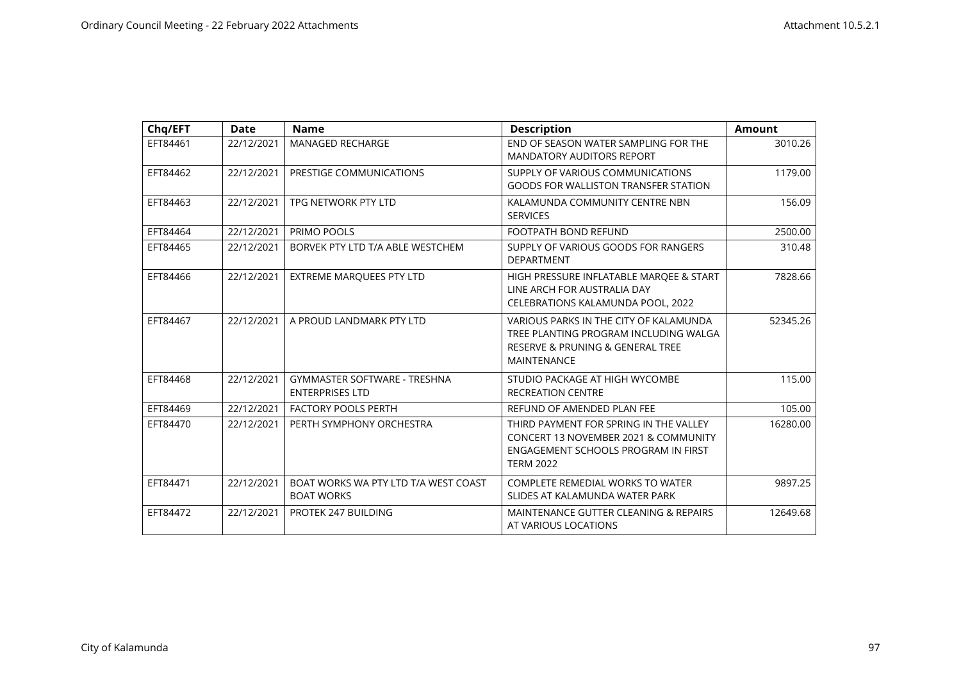| Chq/EFT  | <b>Date</b> | <b>Name</b>                                                   | <b>Description</b>                                                                                                                                   | <b>Amount</b> |
|----------|-------------|---------------------------------------------------------------|------------------------------------------------------------------------------------------------------------------------------------------------------|---------------|
| EFT84461 | 22/12/2021  | <b>MANAGED RECHARGE</b>                                       | END OF SEASON WATER SAMPLING FOR THE<br><b>MANDATORY AUDITORS REPORT</b>                                                                             | 3010.26       |
| EFT84462 | 22/12/2021  | PRESTIGE COMMUNICATIONS                                       | SUPPLY OF VARIOUS COMMUNICATIONS<br><b>GOODS FOR WALLISTON TRANSFER STATION</b>                                                                      | 1179.00       |
| EFT84463 | 22/12/2021  | TPG NETWORK PTY LTD                                           | KALAMUNDA COMMUNITY CENTRE NBN<br><b>SERVICES</b>                                                                                                    | 156.09        |
| EFT84464 | 22/12/2021  | PRIMO POOLS                                                   | FOOTPATH BOND REFUND                                                                                                                                 | 2500.00       |
| EFT84465 | 22/12/2021  | BORVEK PTY LTD T/A ABLE WESTCHEM                              | SUPPLY OF VARIOUS GOODS FOR RANGERS<br><b>DEPARTMENT</b>                                                                                             | 310.48        |
| EFT84466 | 22/12/2021  | <b>EXTREME MARQUEES PTY LTD</b>                               | HIGH PRESSURE INFLATABLE MARQEE & START<br>LINE ARCH FOR AUSTRALIA DAY<br>CELEBRATIONS KALAMUNDA POOL, 2022                                          | 7828.66       |
| EFT84467 | 22/12/2021  | A PROUD LANDMARK PTY LTD                                      | VARIOUS PARKS IN THE CITY OF KALAMUNDA<br>TREE PLANTING PROGRAM INCLUDING WALGA<br>RESERVE & PRUNING & GENERAL TREE<br><b>MAINTENANCE</b>            | 52345.26      |
| EFT84468 | 22/12/2021  | <b>GYMMASTER SOFTWARE - TRESHNA</b><br><b>ENTERPRISES LTD</b> | STUDIO PACKAGE AT HIGH WYCOMBE<br><b>RECREATION CENTRE</b>                                                                                           | 115.00        |
| EFT84469 | 22/12/2021  | <b>FACTORY POOLS PERTH</b>                                    | REFUND OF AMENDED PLAN FEE                                                                                                                           | 105.00        |
| EFT84470 | 22/12/2021  | PERTH SYMPHONY ORCHESTRA                                      | THIRD PAYMENT FOR SPRING IN THE VALLEY<br><b>CONCERT 13 NOVEMBER 2021 &amp; COMMUNITY</b><br>ENGAGEMENT SCHOOLS PROGRAM IN FIRST<br><b>TERM 2022</b> | 16280.00      |
| EFT84471 | 22/12/2021  | BOAT WORKS WA PTY LTD T/A WEST COAST<br><b>BOAT WORKS</b>     | <b>COMPLETE REMEDIAL WORKS TO WATER</b><br>SLIDES AT KALAMUNDA WATER PARK                                                                            | 9897.25       |
| EFT84472 | 22/12/2021  | PROTEK 247 BUILDING                                           | MAINTENANCE GUTTER CLEANING & REPAIRS<br>AT VARIOUS LOCATIONS                                                                                        | 12649.68      |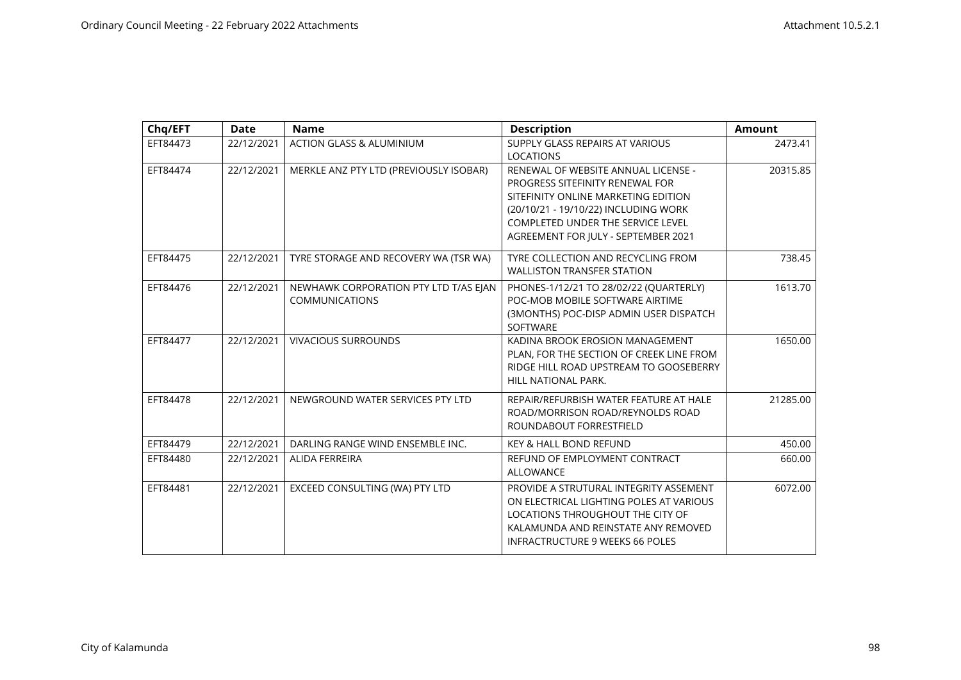| Chq/EFT  | <b>Date</b> | <b>Name</b>                                                    | <b>Description</b>                                                                                                                                                                                                                       | <b>Amount</b> |
|----------|-------------|----------------------------------------------------------------|------------------------------------------------------------------------------------------------------------------------------------------------------------------------------------------------------------------------------------------|---------------|
| EFT84473 | 22/12/2021  | <b>ACTION GLASS &amp; ALUMINIUM</b>                            | SUPPLY GLASS REPAIRS AT VARIOUS<br><b>LOCATIONS</b>                                                                                                                                                                                      | 2473.41       |
| EFT84474 | 22/12/2021  | MERKLE ANZ PTY LTD (PREVIOUSLY ISOBAR)                         | RENEWAL OF WEBSITE ANNUAL LICENSE -<br>PROGRESS SITEFINITY RENEWAL FOR<br>SITEFINITY ONLINE MARKETING EDITION<br>(20/10/21 - 19/10/22) INCLUDING WORK<br><b>COMPLETED UNDER THE SERVICE LEVEL</b><br>AGREEMENT FOR JULY - SEPTEMBER 2021 | 20315.85      |
| EFT84475 | 22/12/2021  | TYRE STORAGE AND RECOVERY WA (TSR WA)                          | TYRE COLLECTION AND RECYCLING FROM<br><b>WALLISTON TRANSFER STATION</b>                                                                                                                                                                  | 738.45        |
| EFT84476 | 22/12/2021  | NEWHAWK CORPORATION PTY LTD T/AS EJAN<br><b>COMMUNICATIONS</b> | PHONES-1/12/21 TO 28/02/22 (QUARTERLY)<br>POC-MOB MOBILE SOFTWARE AIRTIME<br>(3MONTHS) POC-DISP ADMIN USER DISPATCH<br><b>SOFTWARE</b>                                                                                                   | 1613.70       |
| EFT84477 | 22/12/2021  | <b>VIVACIOUS SURROUNDS</b>                                     | KADINA BROOK EROSION MANAGEMENT<br>PLAN, FOR THE SECTION OF CREEK LINE FROM<br>RIDGE HILL ROAD UPSTREAM TO GOOSEBERRY<br>HILL NATIONAL PARK.                                                                                             | 1650.00       |
| EFT84478 | 22/12/2021  | NEWGROUND WATER SERVICES PTY LTD                               | REPAIR/REFURBISH WATER FEATURE AT HALE<br>ROAD/MORRISON ROAD/REYNOLDS ROAD<br>ROUNDABOUT FORRESTFIELD                                                                                                                                    | 21285.00      |
| EFT84479 | 22/12/2021  | DARLING RANGE WIND ENSEMBLE INC.                               | <b>KEY &amp; HALL BOND REFUND</b>                                                                                                                                                                                                        | 450.00        |
| EFT84480 | 22/12/2021  | ALIDA FERREIRA                                                 | REFUND OF EMPLOYMENT CONTRACT<br><b>ALLOWANCE</b>                                                                                                                                                                                        | 660.00        |
| EFT84481 | 22/12/2021  | EXCEED CONSULTING (WA) PTY LTD                                 | PROVIDE A STRUTURAL INTEGRITY ASSEMENT<br>ON ELECTRICAL LIGHTING POLES AT VARIOUS<br>LOCATIONS THROUGHOUT THE CITY OF<br>KALAMUNDA AND REINSTATE ANY REMOVED<br><b>INFRACTRUCTURE 9 WEEKS 66 POLES</b>                                   | 6072.00       |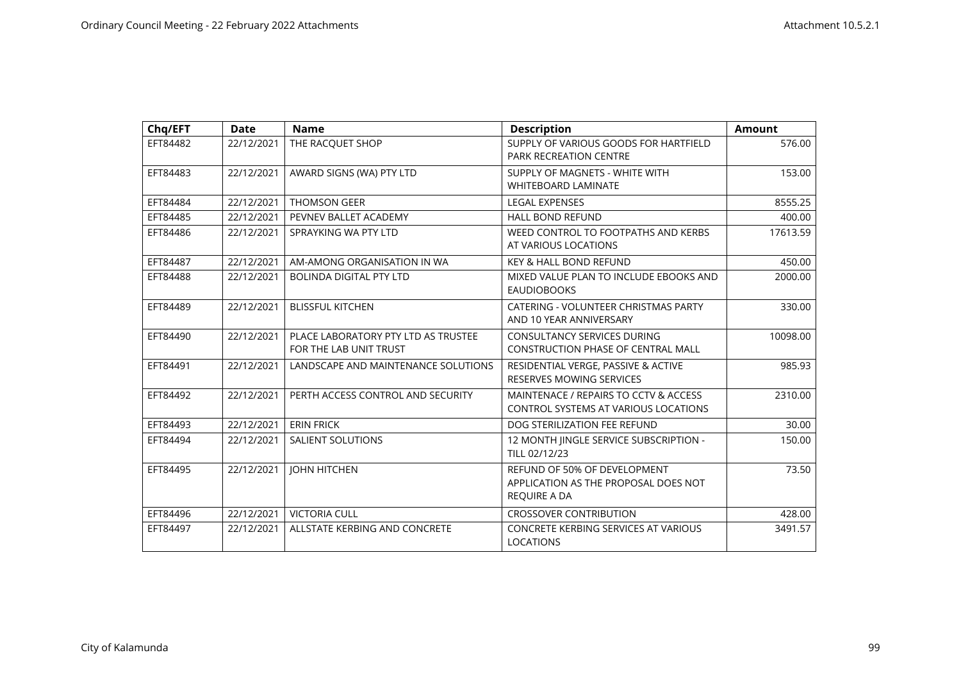| Chq/EFT  | <b>Date</b> | <b>Name</b>                                                   | <b>Description</b>                                                                   | <b>Amount</b> |
|----------|-------------|---------------------------------------------------------------|--------------------------------------------------------------------------------------|---------------|
| EFT84482 | 22/12/2021  | THE RACQUET SHOP                                              | SUPPLY OF VARIOUS GOODS FOR HARTFIELD<br><b>PARK RECREATION CENTRE</b>               | 576.00        |
| EFT84483 | 22/12/2021  | AWARD SIGNS (WA) PTY LTD                                      | SUPPLY OF MAGNETS - WHITE WITH<br><b>WHITEBOARD LAMINATE</b>                         | 153.00        |
| EFT84484 | 22/12/2021  | <b>THOMSON GEER</b>                                           | <b>LEGAL EXPENSES</b>                                                                | 8555.25       |
| EFT84485 | 22/12/2021  | PEVNEV BALLET ACADEMY                                         | <b>HALL BOND REFUND</b>                                                              | 400.00        |
| EFT84486 | 22/12/2021  | SPRAYKING WA PTY LTD                                          | WEED CONTROL TO FOOTPATHS AND KERBS<br>AT VARIOUS LOCATIONS                          | 17613.59      |
| EFT84487 | 22/12/2021  | AM-AMONG ORGANISATION IN WA                                   | <b>KEY &amp; HALL BOND REFUND</b>                                                    | 450.00        |
| EFT84488 | 22/12/2021  | <b>BOLINDA DIGITAL PTY LTD</b>                                | MIXED VALUE PLAN TO INCLUDE EBOOKS AND<br><b>EAUDIOBOOKS</b>                         | 2000.00       |
| EFT84489 | 22/12/2021  | <b>BLISSFUL KITCHEN</b>                                       | CATERING - VOLUNTEER CHRISTMAS PARTY<br>AND 10 YEAR ANNIVERSARY                      | 330.00        |
| EFT84490 | 22/12/2021  | PLACE LABORATORY PTY LTD AS TRUSTEE<br>FOR THE LAB UNIT TRUST | <b>CONSULTANCY SERVICES DURING</b><br><b>CONSTRUCTION PHASE OF CENTRAL MALL</b>      | 10098.00      |
| EFT84491 | 22/12/2021  | LANDSCAPE AND MAINTENANCE SOLUTIONS                           | RESIDENTIAL VERGE, PASSIVE & ACTIVE<br><b>RESERVES MOWING SERVICES</b>               | 985.93        |
| EFT84492 | 22/12/2021  | PERTH ACCESS CONTROL AND SECURITY                             | MAINTENACE / REPAIRS TO CCTV & ACCESS<br>CONTROL SYSTEMS AT VARIOUS LOCATIONS        | 2310.00       |
| EFT84493 | 22/12/2021  | <b>ERIN FRICK</b>                                             | DOG STERILIZATION FEE REFUND                                                         | 30.00         |
| EFT84494 | 22/12/2021  | <b>SALIENT SOLUTIONS</b>                                      | 12 MONTH JINGLE SERVICE SUBSCRIPTION -<br>TILL 02/12/23                              | 150.00        |
| EFT84495 | 22/12/2021  | <b>JOHN HITCHEN</b>                                           | REFUND OF 50% OF DEVELOPMENT<br>APPLICATION AS THE PROPOSAL DOES NOT<br>REQUIRE A DA | 73.50         |
| EFT84496 | 22/12/2021  | <b>VICTORIA CULL</b>                                          | <b>CROSSOVER CONTRIBUTION</b>                                                        | 428.00        |
| EFT84497 | 22/12/2021  | ALLSTATE KERBING AND CONCRETE                                 | CONCRETE KERBING SERVICES AT VARIOUS<br><b>LOCATIONS</b>                             | 3491.57       |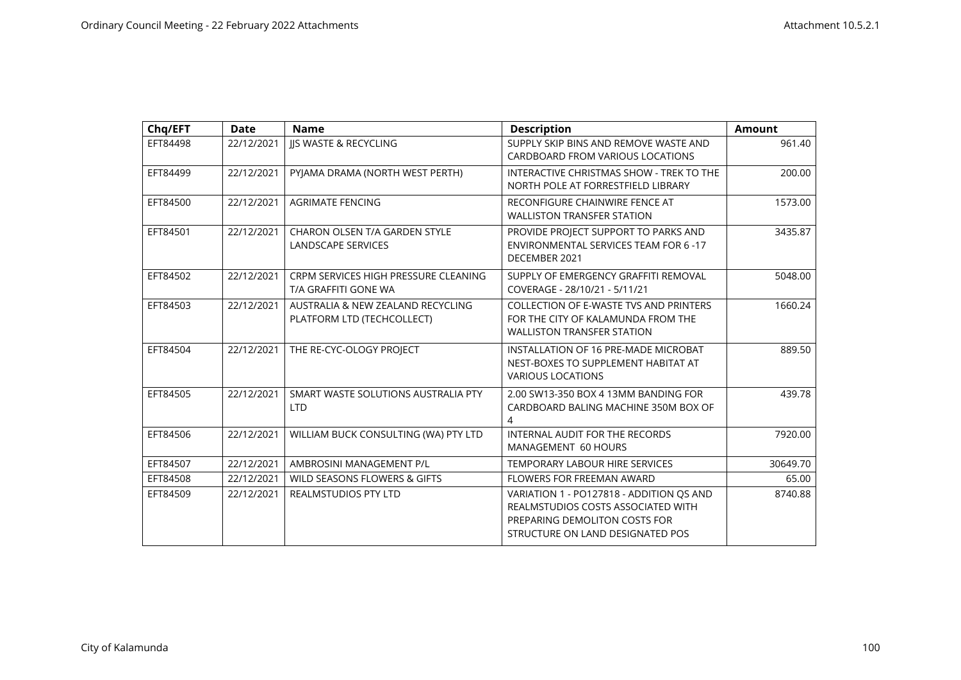| Chq/EFT  | <b>Date</b> | <b>Name</b>                                                     | <b>Description</b>                                                                                                                                  | <b>Amount</b> |
|----------|-------------|-----------------------------------------------------------------|-----------------------------------------------------------------------------------------------------------------------------------------------------|---------------|
| EFT84498 | 22/12/2021  | JJS WASTE & RECYCLING                                           | SUPPLY SKIP BINS AND REMOVE WASTE AND<br>CARDBOARD FROM VARIOUS LOCATIONS                                                                           | 961.40        |
| EFT84499 | 22/12/2021  | PYJAMA DRAMA (NORTH WEST PERTH)                                 | INTERACTIVE CHRISTMAS SHOW - TREK TO THE<br>NORTH POLE AT FORRESTFIELD LIBRARY                                                                      | 200.00        |
| EFT84500 | 22/12/2021  | <b>AGRIMATE FENCING</b>                                         | RECONFIGURE CHAINWIRE FENCE AT<br><b>WALLISTON TRANSFER STATION</b>                                                                                 | 1573.00       |
| EFT84501 | 22/12/2021  | CHARON OLSEN T/A GARDEN STYLE<br>LANDSCAPE SERVICES             | PROVIDE PROJECT SUPPORT TO PARKS AND<br><b>ENVIRONMENTAL SERVICES TEAM FOR 6-17</b><br>DECEMBER 2021                                                | 3435.87       |
| EFT84502 | 22/12/2021  | CRPM SERVICES HIGH PRESSURE CLEANING<br>T/A GRAFFITI GONE WA    | SUPPLY OF EMERGENCY GRAFFITI REMOVAL<br>COVERAGE - 28/10/21 - 5/11/21                                                                               | 5048.00       |
| EFT84503 | 22/12/2021  | AUSTRALIA & NEW ZEALAND RECYCLING<br>PLATFORM LTD (TECHCOLLECT) | <b>COLLECTION OF E-WASTE TVS AND PRINTERS</b><br>FOR THE CITY OF KALAMUNDA FROM THE<br><b>WALLISTON TRANSFER STATION</b>                            | 1660.24       |
| EFT84504 | 22/12/2021  | THE RE-CYC-OLOGY PROJECT                                        | INSTALLATION OF 16 PRE-MADE MICROBAT<br>NEST-BOXES TO SUPPLEMENT HABITAT AT<br><b>VARIOUS LOCATIONS</b>                                             | 889.50        |
| EFT84505 | 22/12/2021  | SMART WASTE SOLUTIONS AUSTRALIA PTY<br><b>LTD</b>               | 2.00 SW13-350 BOX 4 13MM BANDING FOR<br>CARDBOARD BALING MACHINE 350M BOX OF<br>4                                                                   | 439.78        |
| EFT84506 | 22/12/2021  | WILLIAM BUCK CONSULTING (WA) PTY LTD                            | <b>INTERNAL AUDIT FOR THE RECORDS</b><br>MANAGEMENT 60 HOURS                                                                                        | 7920.00       |
| EFT84507 | 22/12/2021  | AMBROSINI MANAGEMENT P/L                                        | <b>TEMPORARY LABOUR HIRE SERVICES</b>                                                                                                               | 30649.70      |
| EFT84508 | 22/12/2021  | WILD SEASONS FLOWERS & GIFTS                                    | <b>FLOWERS FOR FREEMAN AWARD</b>                                                                                                                    | 65.00         |
| EFT84509 | 22/12/2021  | <b>REALMSTUDIOS PTY LTD</b>                                     | VARIATION 1 - PO127818 - ADDITION QS AND<br>REALMSTUDIOS COSTS ASSOCIATED WITH<br>PREPARING DEMOLITON COSTS FOR<br>STRUCTURE ON LAND DESIGNATED POS | 8740.88       |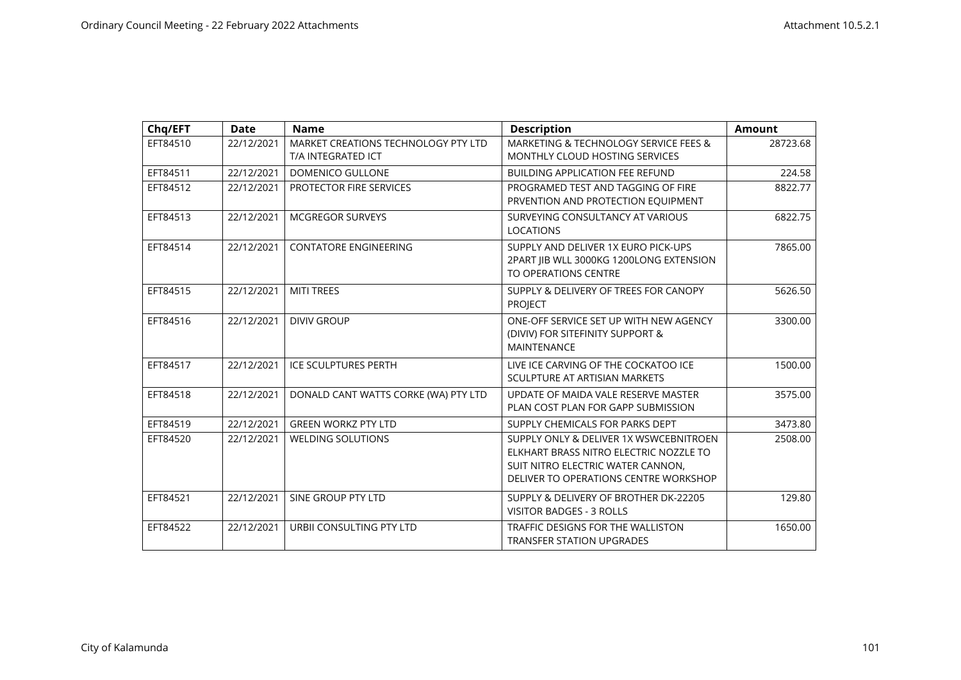| Chq/EFT  | <b>Date</b> | <b>Name</b>                                               | <b>Description</b>                                                                                                                                             | <b>Amount</b> |
|----------|-------------|-----------------------------------------------------------|----------------------------------------------------------------------------------------------------------------------------------------------------------------|---------------|
| EFT84510 | 22/12/2021  | MARKET CREATIONS TECHNOLOGY PTY LTD<br>T/A INTEGRATED ICT | MARKETING & TECHNOLOGY SERVICE FEES &<br><b>MONTHLY CLOUD HOSTING SERVICES</b>                                                                                 | 28723.68      |
| EFT84511 | 22/12/2021  | <b>DOMENICO GULLONE</b>                                   | <b>BUILDING APPLICATION FEE REFUND</b>                                                                                                                         | 224.58        |
| EFT84512 | 22/12/2021  | PROTECTOR FIRE SERVICES                                   | PROGRAMED TEST AND TAGGING OF FIRE<br>PRVENTION AND PROTECTION EQUIPMENT                                                                                       | 8822.77       |
| EFT84513 | 22/12/2021  | <b>MCGREGOR SURVEYS</b>                                   | SURVEYING CONSULTANCY AT VARIOUS<br><b>LOCATIONS</b>                                                                                                           | 6822.75       |
| EFT84514 | 22/12/2021  | <b>CONTATORE ENGINEERING</b>                              | SUPPLY AND DELIVER 1X EURO PICK-UPS<br>2PART JIB WLL 3000KG 1200LONG EXTENSION<br><b>TO OPERATIONS CENTRE</b>                                                  | 7865.00       |
| EFT84515 | 22/12/2021  | <b>MITI TREES</b>                                         | SUPPLY & DELIVERY OF TREES FOR CANOPY<br><b>PROJECT</b>                                                                                                        | 5626.50       |
| EFT84516 | 22/12/2021  | <b>DIVIV GROUP</b>                                        | ONE-OFF SERVICE SET UP WITH NEW AGENCY<br>(DIVIV) FOR SITEFINITY SUPPORT &<br><b>MAINTENANCE</b>                                                               | 3300.00       |
| EFT84517 | 22/12/2021  | <b>ICE SCULPTURES PERTH</b>                               | LIVE ICE CARVING OF THE COCKATOO ICE<br>SCULPTURE AT ARTISIAN MARKETS                                                                                          | 1500.00       |
| EFT84518 | 22/12/2021  | DONALD CANT WATTS CORKE (WA) PTY LTD                      | UPDATE OF MAIDA VALE RESERVE MASTER<br>PLAN COST PLAN FOR GAPP SUBMISSION                                                                                      | 3575.00       |
| EFT84519 | 22/12/2021  | <b>GREEN WORKZ PTY LTD</b>                                | SUPPLY CHEMICALS FOR PARKS DEPT                                                                                                                                | 3473.80       |
| EFT84520 | 22/12/2021  | <b>WELDING SOLUTIONS</b>                                  | SUPPLY ONLY & DELIVER 1X WSWCEBNITROEN<br>ELKHART BRASS NITRO ELECTRIC NOZZLE TO<br>SUIT NITRO ELECTRIC WATER CANNON,<br>DELIVER TO OPERATIONS CENTRE WORKSHOP | 2508.00       |
| EFT84521 | 22/12/2021  | SINE GROUP PTY LTD                                        | SUPPLY & DELIVERY OF BROTHER DK-22205<br><b>VISITOR BADGES - 3 ROLLS</b>                                                                                       | 129.80        |
| EFT84522 | 22/12/2021  | URBII CONSULTING PTY LTD                                  | TRAFFIC DESIGNS FOR THE WALLISTON<br><b>TRANSFER STATION UPGRADES</b>                                                                                          | 1650.00       |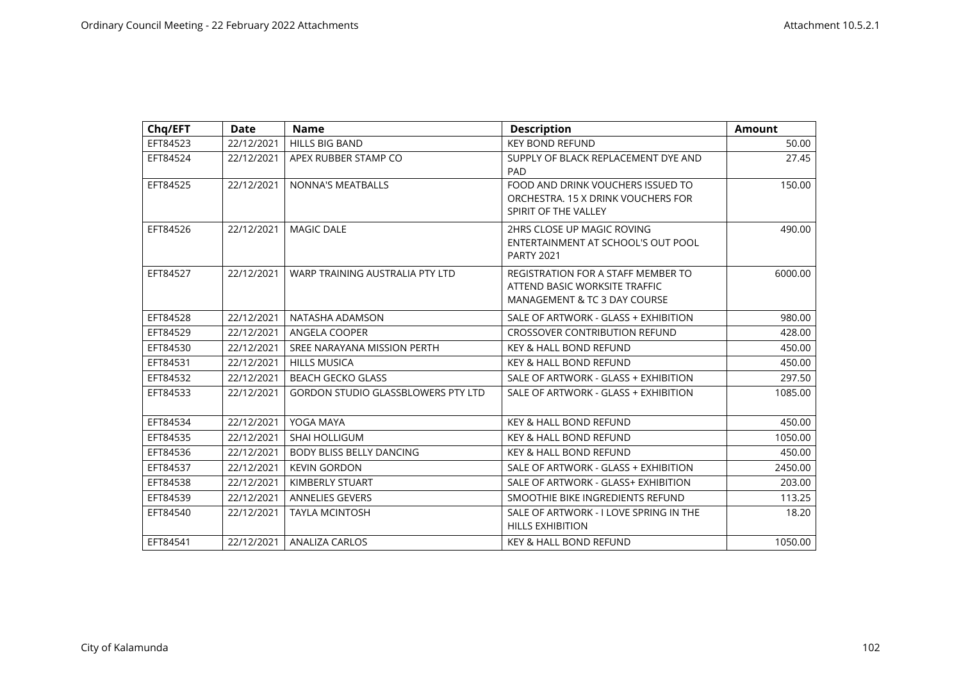| Chq/EFT  | <b>Date</b> | <b>Name</b>                               | <b>Description</b>                                                                                         | <b>Amount</b> |
|----------|-------------|-------------------------------------------|------------------------------------------------------------------------------------------------------------|---------------|
| EFT84523 | 22/12/2021  | HILLS BIG BAND                            | <b>KEY BOND REFUND</b>                                                                                     | 50.00         |
| EFT84524 | 22/12/2021  | APEX RUBBER STAMP CO                      | SUPPLY OF BLACK REPLACEMENT DYE AND<br><b>PAD</b>                                                          | 27.45         |
| EFT84525 | 22/12/2021  | NONNA'S MEATBALLS                         | FOOD AND DRINK VOUCHERS ISSUED TO<br>ORCHESTRA, 15 X DRINK VOUCHERS FOR<br>SPIRIT OF THE VALLEY            | 150.00        |
| EFT84526 | 22/12/2021  | <b>MAGIC DALE</b>                         | 2HRS CLOSE UP MAGIC ROVING<br>ENTERTAINMENT AT SCHOOL'S OUT POOL<br><b>PARTY 2021</b>                      | 490.00        |
| EFT84527 | 22/12/2021  | WARP TRAINING AUSTRALIA PTY LTD           | <b>REGISTRATION FOR A STAFF MEMBER TO</b><br>ATTEND BASIC WORKSITE TRAFFIC<br>MANAGEMENT & TC 3 DAY COURSE | 6000.00       |
| EFT84528 | 22/12/2021  | NATASHA ADAMSON                           | SALE OF ARTWORK - GLASS + EXHIBITION                                                                       | 980.00        |
| EFT84529 | 22/12/2021  | ANGELA COOPER                             | <b>CROSSOVER CONTRIBUTION REFUND</b>                                                                       | 428.00        |
| EFT84530 | 22/12/2021  | SREE NARAYANA MISSION PERTH               | <b>KEY &amp; HALL BOND REFUND</b>                                                                          | 450.00        |
| EFT84531 | 22/12/2021  | <b>HILLS MUSICA</b>                       | <b>KEY &amp; HALL BOND REFUND</b>                                                                          | 450.00        |
| EFT84532 | 22/12/2021  | <b>BEACH GECKO GLASS</b>                  | SALE OF ARTWORK - GLASS + EXHIBITION                                                                       | 297.50        |
| EFT84533 | 22/12/2021  | <b>GORDON STUDIO GLASSBLOWERS PTY LTD</b> | SALE OF ARTWORK - GLASS + EXHIBITION                                                                       | 1085.00       |
| EFT84534 | 22/12/2021  | YOGA MAYA                                 | <b>KEY &amp; HALL BOND REFUND</b>                                                                          | 450.00        |
| EFT84535 | 22/12/2021  | <b>SHAI HOLLIGUM</b>                      | <b>KEY &amp; HALL BOND REFUND</b>                                                                          | 1050.00       |
| EFT84536 | 22/12/2021  | <b>BODY BLISS BELLY DANCING</b>           | <b>KEY &amp; HALL BOND REFUND</b>                                                                          | 450.00        |
| EFT84537 | 22/12/2021  | <b>KEVIN GORDON</b>                       | SALE OF ARTWORK - GLASS + EXHIBITION                                                                       | 2450.00       |
| EFT84538 | 22/12/2021  | KIMBERLY STUART                           | SALE OF ARTWORK - GLASS+ EXHIBITION                                                                        | 203.00        |
| EFT84539 | 22/12/2021  | <b>ANNELIES GEVERS</b>                    | SMOOTHIE BIKE INGREDIENTS REFUND                                                                           | 113.25        |
| EFT84540 | 22/12/2021  | <b>TAYLA MCINTOSH</b>                     | SALE OF ARTWORK - I LOVE SPRING IN THE<br><b>HILLS EXHIBITION</b>                                          | 18.20         |
| EFT84541 | 22/12/2021  | <b>ANALIZA CARLOS</b>                     | <b>KEY &amp; HALL BOND REFUND</b>                                                                          | 1050.00       |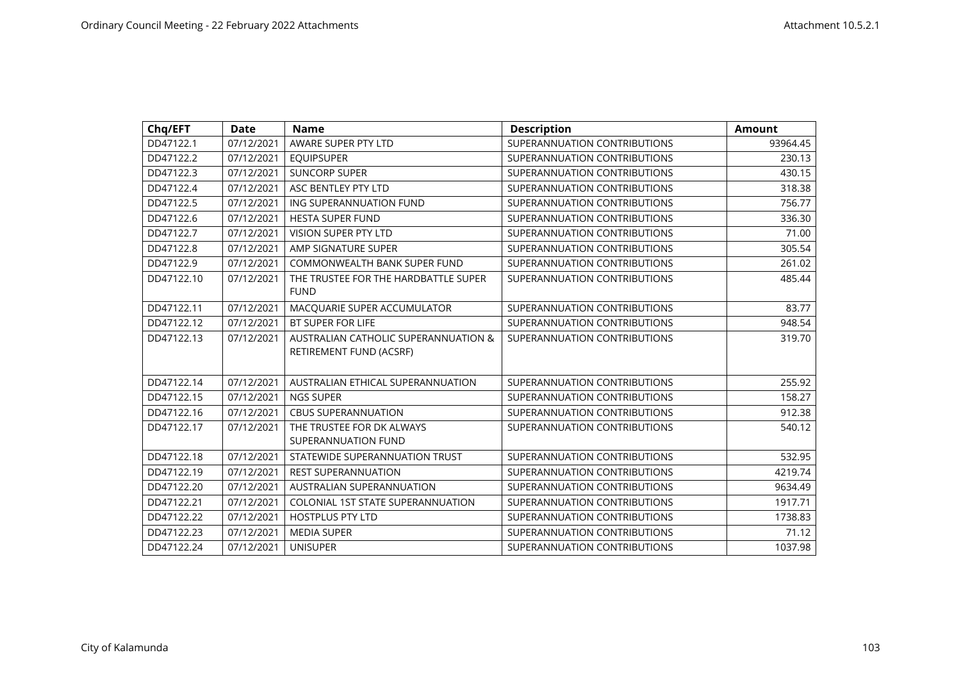| Chq/EFT    | <b>Date</b> | <b>Name</b>                              | <b>Description</b>           | <b>Amount</b> |
|------------|-------------|------------------------------------------|------------------------------|---------------|
| DD47122.1  | 07/12/2021  | AWARE SUPER PTY LTD                      | SUPERANNUATION CONTRIBUTIONS | 93964.45      |
| DD47122.2  | 07/12/2021  | <b>EQUIPSUPER</b>                        | SUPERANNUATION CONTRIBUTIONS | 230.13        |
| DD47122.3  | 07/12/2021  | <b>SUNCORP SUPER</b>                     | SUPERANNUATION CONTRIBUTIONS | 430.15        |
| DD47122.4  | 07/12/2021  | ASC BENTLEY PTY LTD                      | SUPERANNUATION CONTRIBUTIONS | 318.38        |
| DD47122.5  | 07/12/2021  | ING SUPERANNUATION FUND                  | SUPERANNUATION CONTRIBUTIONS | 756.77        |
| DD47122.6  | 07/12/2021  | HESTA SUPER FUND                         | SUPERANNUATION CONTRIBUTIONS | 336.30        |
| DD47122.7  | 07/12/2021  | VISION SUPER PTY LTD                     | SUPERANNUATION CONTRIBUTIONS | 71.00         |
| DD47122.8  | 07/12/2021  | AMP SIGNATURE SUPER                      | SUPERANNUATION CONTRIBUTIONS | 305.54        |
| DD47122.9  | 07/12/2021  | COMMONWEALTH BANK SUPER FUND             | SUPERANNUATION CONTRIBUTIONS | 261.02        |
| DD47122.10 | 07/12/2021  | THE TRUSTEE FOR THE HARDBATTLE SUPER     | SUPERANNUATION CONTRIBUTIONS | 485.44        |
|            |             | <b>FUND</b>                              |                              |               |
| DD47122.11 | 07/12/2021  | MACQUARIE SUPER ACCUMULATOR              | SUPERANNUATION CONTRIBUTIONS | 83.77         |
| DD47122.12 | 07/12/2021  | <b>BT SUPER FOR LIFE</b>                 | SUPERANNUATION CONTRIBUTIONS | 948.54        |
| DD47122.13 | 07/12/2021  | AUSTRALIAN CATHOLIC SUPERANNUATION &     | SUPERANNUATION CONTRIBUTIONS | 319.70        |
|            |             | RETIREMENT FUND (ACSRF)                  |                              |               |
| DD47122.14 | 07/12/2021  | AUSTRALIAN ETHICAL SUPERANNUATION        | SUPERANNUATION CONTRIBUTIONS | 255.92        |
| DD47122.15 | 07/12/2021  | <b>NGS SUPER</b>                         | SUPERANNUATION CONTRIBUTIONS | 158.27        |
| DD47122.16 | 07/12/2021  | <b>CBUS SUPERANNUATION</b>               | SUPERANNUATION CONTRIBUTIONS | 912.38        |
| DD47122.17 | 07/12/2021  | THE TRUSTEE FOR DK ALWAYS                | SUPERANNUATION CONTRIBUTIONS | 540.12        |
|            |             | SUPERANNUATION FUND                      |                              |               |
| DD47122.18 | 07/12/2021  | STATEWIDE SUPERANNUATION TRUST           | SUPERANNUATION CONTRIBUTIONS | 532.95        |
| DD47122.19 | 07/12/2021  | <b>REST SUPERANNUATION</b>               | SUPERANNUATION CONTRIBUTIONS | 4219.74       |
| DD47122.20 | 07/12/2021  | <b>AUSTRALIAN SUPERANNUATION</b>         | SUPERANNUATION CONTRIBUTIONS | 9634.49       |
| DD47122.21 | 07/12/2021  | <b>COLONIAL 1ST STATE SUPERANNUATION</b> | SUPERANNUATION CONTRIBUTIONS | 1917.71       |
| DD47122.22 | 07/12/2021  | <b>HOSTPLUS PTY LTD</b>                  | SUPERANNUATION CONTRIBUTIONS | 1738.83       |
| DD47122.23 | 07/12/2021  | <b>MEDIA SUPER</b>                       | SUPERANNUATION CONTRIBUTIONS | 71.12         |
| DD47122.24 | 07/12/2021  | <b>UNISUPER</b>                          | SUPERANNUATION CONTRIBUTIONS | 1037.98       |